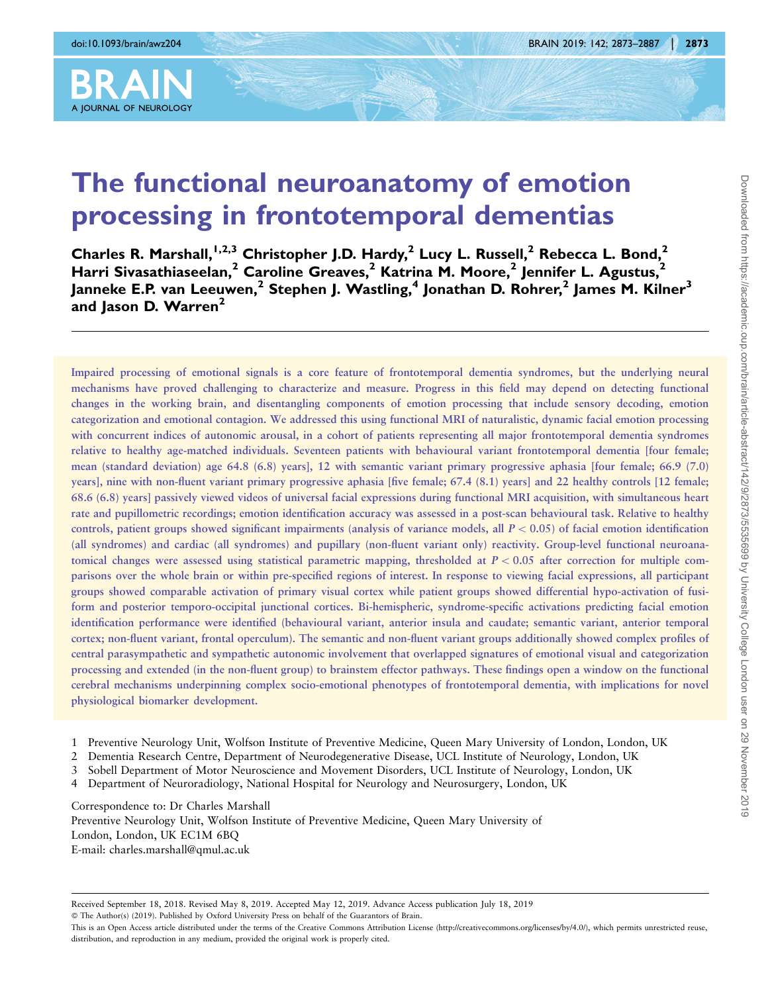

# The functional neuroanatomy of emotion processing in frontotemporal dementias

Charles R. Marshall,  $1,2,3$  Christopher I.D. Hardy,  $2$  Lucy L. Russell,  $2$  Rebecca L. Bond,  $2$ Harri Sivasathiaseelan,<sup>2</sup> Caroline Greaves,<sup>2</sup> Katrina M. Moore,<sup>2</sup> Jennifer L. Agustus,<sup>2</sup> Janneke E.P. van Leeuwen,<sup>2</sup> Stephen J. Wastling,<sup>4</sup> Jonathan D. Rohrer,<sup>2</sup> James M. Kilner<sup>3</sup> and Jason D. Warren $<sup>2</sup>$ </sup>

Impaired processing of emotional signals is a core feature of frontotemporal dementia syndromes, but the underlying neural mechanisms have proved challenging to characterize and measure. Progress in this field may depend on detecting functional changes in the working brain, and disentangling components of emotion processing that include sensory decoding, emotion categorization and emotional contagion. We addressed this using functional MRI of naturalistic, dynamic facial emotion processing with concurrent indices of autonomic arousal, in a cohort of patients representing all major frontotemporal dementia syndromes relative to healthy age-matched individuals. Seventeen patients with behavioural variant frontotemporal dementia [four female; mean (standard deviation) age 64.8 (6.8) years], 12 with semantic variant primary progressive aphasia [four female; 66.9 (7.0) years], nine with non-fluent variant primary progressive aphasia [five female; 67.4 (8.1) years] and 22 healthy controls [12 female; 68.6 (6.8) years] passively viewed videos of universal facial expressions during functional MRI acquisition, with simultaneous heart rate and pupillometric recordings; emotion identification accuracy was assessed in a post-scan behavioural task. Relative to healthy controls, patient groups showed significant impairments (analysis of variance models, all  $P < 0.05$ ) of facial emotion identification (all syndromes) and cardiac (all syndromes) and pupillary (non-fluent variant only) reactivity. Group-level functional neuroanatomical changes were assessed using statistical parametric mapping, thresholded at  $P < 0.05$  after correction for multiple comparisons over the whole brain or within pre-specified regions of interest. In response to viewing facial expressions, all participant groups showed comparable activation of primary visual cortex while patient groups showed differential hypo-activation of fusiform and posterior temporo-occipital junctional cortices. Bi-hemispheric, syndrome-specific activations predicting facial emotion identification performance were identified (behavioural variant, anterior insula and caudate; semantic variant, anterior temporal cortex; non-fluent variant, frontal operculum). The semantic and non-fluent variant groups additionally showed complex profiles of central parasympathetic and sympathetic autonomic involvement that overlapped signatures of emotional visual and categorization processing and extended (in the non-fluent group) to brainstem effector pathways. These findings open a window on the functional cerebral mechanisms underpinning complex socio-emotional phenotypes of frontotemporal dementia, with implications for novel physiological biomarker development.

- 1 Preventive Neurology Unit, Wolfson Institute of Preventive Medicine, Queen Mary University of London, London, UK
- 2 Dementia Research Centre, Department of Neurodegenerative Disease, UCL Institute of Neurology, London, UK
- 3 Sobell Department of Motor Neuroscience and Movement Disorders, UCL Institute of Neurology, London, UK
- 4 Department of Neuroradiology, National Hospital for Neurology and Neurosurgery, London, UK

Correspondence to: Dr Charles Marshall Preventive Neurology Unit, Wolfson Institute of Preventive Medicine, Queen Mary University of London, London, UK EC1M 6BQ E-mail: charles.marshall@qmul.ac.uk

Received September 18, 2018. Revised May 8, 2019. Accepted May 12, 2019. Advance Access publication July 18, 2019

<sup>-</sup> The Author(s) (2019). Published by Oxford University Press on behalf of the Guarantors of Brain.

This is an Open Access article distributed under the terms of the Creative Commons Attribution License [\(http://creativecommons.org/licenses/by/4.0/](http://creativecommons.org/licenses/by/4.0/)), which permits unrestricted reuse, distribution, and reproduction in any medium, provided the original work is properly cited.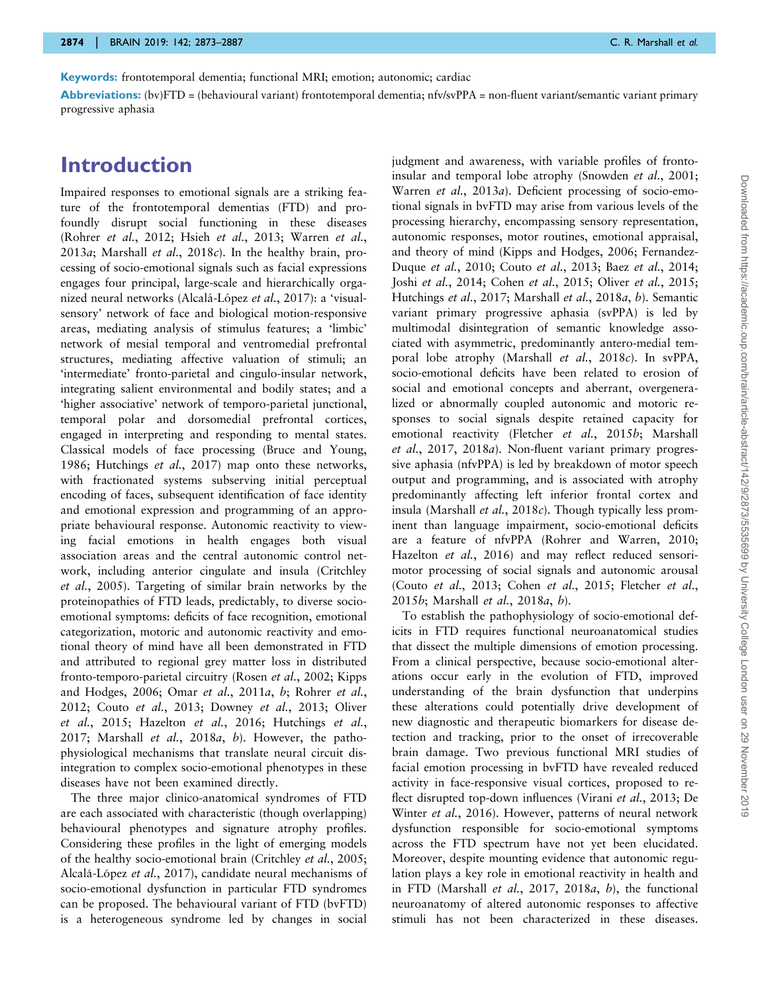Keywords: frontotemporal dementia; functional MRI; emotion; autonomic; cardiac

Abbreviations: (bv)FTD = (behavioural variant) frontotemporal dementia; nfv/svPPA = non-fluent variant/semantic variant primary progressive aphasia

### Introduction

Impaired responses to emotional signals are a striking feature of the frontotemporal dementias (FTD) and profoundly disrupt social functioning in these diseases [\(Rohrer](#page-13-0) et al., 2012; Hsieh et al.[, 2013](#page-13-0); [Warren](#page-14-0) et al., [2013](#page-14-0)a; [Marshall](#page-13-0) et al., 2018c). In the healthy brain, processing of socio-emotional signals such as facial expressions engages four principal, large-scale and hierarchically organized neural networks (Alcalá-López et al., 2017): a 'visualsensory' network of face and biological motion-responsive areas, mediating analysis of stimulus features; a 'limbic' network of mesial temporal and ventromedial prefrontal structures, mediating affective valuation of stimuli; an 'intermediate' fronto-parietal and cingulo-insular network, integrating salient environmental and bodily states; and a 'higher associative' network of temporo-parietal junctional, temporal polar and dorsomedial prefrontal cortices, engaged in interpreting and responding to mental states. Classical models of face processing [\(Bruce and Young,](#page-12-0) [1986](#page-12-0); [Hutchings](#page-13-0) et al., 2017) map onto these networks, with fractionated systems subserving initial perceptual encoding of faces, subsequent identification of face identity and emotional expression and programming of an appropriate behavioural response. Autonomic reactivity to viewing facial emotions in health engages both visual association areas and the central autonomic control network, including anterior cingulate and insula [\(Critchley](#page-12-0) et al.[, 2005](#page-12-0)). Targeting of similar brain networks by the proteinopathies of FTD leads, predictably, to diverse socioemotional symptoms: deficits of face recognition, emotional categorization, motoric and autonomic reactivity and emotional theory of mind have all been demonstrated in FTD and attributed to regional grey matter loss in distributed fronto-temporo-parietal circuitry (Rosen et al.[, 2002; Kipps](#page-13-0) [and Hodges, 2006](#page-13-0); Omar et al.[, 2011](#page-13-0)a, b; [Rohrer](#page-13-0) et al., [2012](#page-13-0); Couto et al.[, 2013; Downey](#page-12-0) et al., 2013; [Oliver](#page-13-0) et al.[, 2015; Hazelton](#page-13-0) et al., 2016; [Hutchings](#page-13-0) et al., [2017](#page-13-0); [Marshall](#page-13-0) et al., 2018a, b). However, the pathophysiological mechanisms that translate neural circuit disintegration to complex socio-emotional phenotypes in these diseases have not been examined directly.

The three major clinico-anatomical syndromes of FTD are each associated with characteristic (though overlapping) behavioural phenotypes and signature atrophy profiles. Considering these profiles in the light of emerging models of the healthy socio-emotional brain ([Critchley](#page-12-0) et al., 2005; Alcalá-López *et al.*, 2017), candidate neural mechanisms of socio-emotional dysfunction in particular FTD syndromes can be proposed. The behavioural variant of FTD (bvFTD) is a heterogeneous syndrome led by changes in social

judgment and awareness, with variable profiles of fronto-insular and temporal lobe atrophy ([Snowden](#page-14-0) et al., 2001; [Warren](#page-14-0) et al., 2013a). Deficient processing of socio-emotional signals in bvFTD may arise from various levels of the processing hierarchy, encompassing sensory representation, autonomic responses, motor routines, emotional appraisal, and theory of mind ([Kipps and Hodges, 2006;](#page-13-0) [Fernandez-](#page-12-0)Duque et al.[, 2010;](#page-12-0) Couto et al.[, 2013;](#page-12-0) Baez et al.[, 2014](#page-12-0); Joshi et al.[, 2014](#page-13-0); Cohen et al.[, 2015;](#page-12-0) Oliver et al.[, 2015](#page-13-0); [Hutchings](#page-13-0) et al., 2017; [Marshall](#page-13-0) et al., 2018a, [b](#page-13-0)). Semantic variant primary progressive aphasia (svPPA) is led by multimodal disintegration of semantic knowledge associated with asymmetric, predominantly antero-medial temporal lobe atrophy [\(Marshall](#page-13-0) et al., 2018c). In svPPA, socio-emotional deficits have been related to erosion of social and emotional concepts and aberrant, overgeneralized or abnormally coupled autonomic and motoric responses to social signals despite retained capacity for emotional reactivity [\(Fletcher](#page-13-0) et al., 2015b; [Marshall](#page-13-0) et al.[, 2017](#page-13-0), [2018](#page-13-0)a). Non-fluent variant primary progressive aphasia (nfvPPA) is led by breakdown of motor speech output and programming, and is associated with atrophy predominantly affecting left inferior frontal cortex and insula [\(Marshall](#page-13-0) *et al.*, 2018*c*). Though typically less prominent than language impairment, socio-emotional deficits are a feature of nfvPPA [\(Rohrer and Warren, 2010](#page-13-0); [Hazelton](#page-13-0) et al., 2016) and may reflect reduced sensorimotor processing of social signals and autonomic arousal (Couto et al.[, 2013](#page-12-0); Cohen et al.[, 2015](#page-12-0); [Fletcher](#page-13-0) et al., [2015](#page-13-0)b; [Marshall](#page-13-0) et al., 2018a, [b](#page-13-0)).

To establish the pathophysiology of socio-emotional deficits in FTD requires functional neuroanatomical studies that dissect the multiple dimensions of emotion processing. From a clinical perspective, because socio-emotional alterations occur early in the evolution of FTD, improved understanding of the brain dysfunction that underpins these alterations could potentially drive development of new diagnostic and therapeutic biomarkers for disease detection and tracking, prior to the onset of irrecoverable brain damage. Two previous functional MRI studies of facial emotion processing in bvFTD have revealed reduced activity in face-responsive visual cortices, proposed to reflect disrupted top-down influences (Virani et al.[, 2013;](#page-14-0) [De](#page-12-0) [Winter](#page-12-0) et al., 2016). However, patterns of neural network dysfunction responsible for socio-emotional symptoms across the FTD spectrum have not yet been elucidated. Moreover, despite mounting evidence that autonomic regulation plays a key role in emotional reactivity in health and in FTD (Marshall et al.[, 2017, 2018](#page-13-0)a, b), the functional neuroanatomy of altered autonomic responses to affective stimuli has not been characterized in these diseases.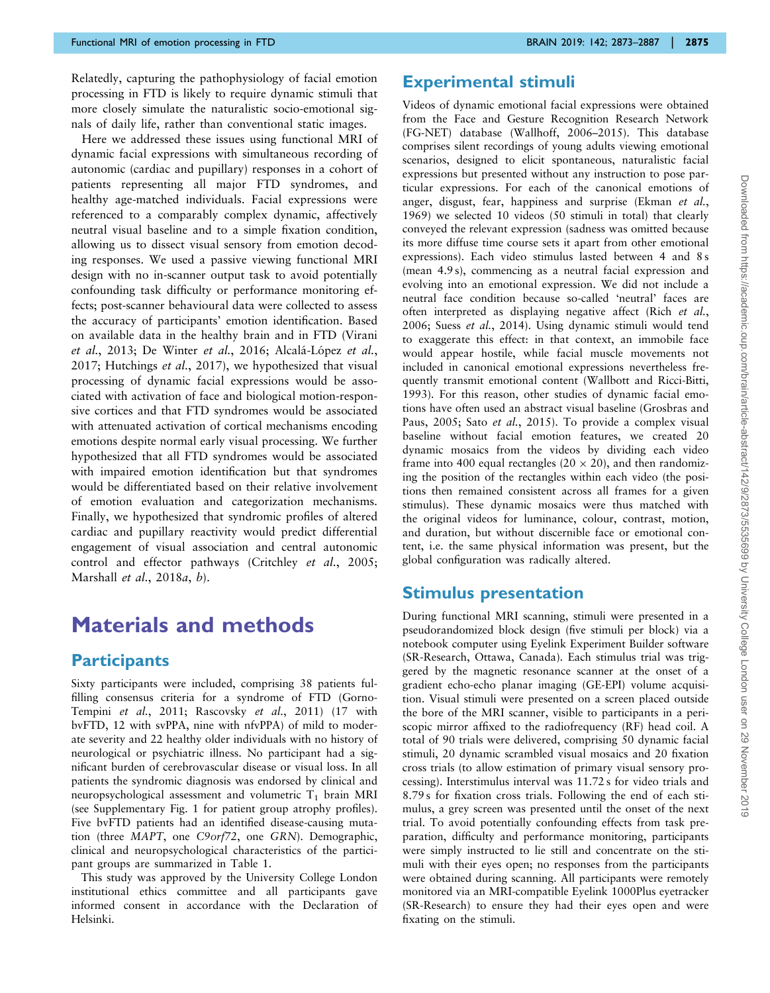Relatedly, capturing the pathophysiology of facial emotion processing in FTD is likely to require dynamic stimuli that more closely simulate the naturalistic socio-emotional signals of daily life, rather than conventional static images.

Here we addressed these issues using functional MRI of dynamic facial expressions with simultaneous recording of autonomic (cardiac and pupillary) responses in a cohort of patients representing all major FTD syndromes, and healthy age-matched individuals. Facial expressions were referenced to a comparably complex dynamic, affectively neutral visual baseline and to a simple fixation condition, allowing us to dissect visual sensory from emotion decoding responses. We used a passive viewing functional MRI design with no in-scanner output task to avoid potentially confounding task difficulty or performance monitoring effects; post-scanner behavioural data were collected to assess the accuracy of participants' emotion identification. Based on available data in the healthy brain and in FTD [\(Virani](#page-14-0) et al.[, 2013](#page-14-0); [De Winter](#page-12-0) et al., 2016; Alcalá-López et al., [2017;](#page-12-0) [Hutchings](#page-13-0) et al., 2017), we hypothesized that visual processing of dynamic facial expressions would be associated with activation of face and biological motion-responsive cortices and that FTD syndromes would be associated with attenuated activation of cortical mechanisms encoding emotions despite normal early visual processing. We further hypothesized that all FTD syndromes would be associated with impaired emotion identification but that syndromes would be differentiated based on their relative involvement of emotion evaluation and categorization mechanisms. Finally, we hypothesized that syndromic profiles of altered cardiac and pupillary reactivity would predict differential engagement of visual association and central autonomic control and effector pathways [\(Critchley](#page-12-0) et al., 2005; [Marshall](#page-13-0) et al., 2018a, b).

### Materials and methods

#### **Participants**

Sixty participants were included, comprising 38 patients fulfilling consensus criteria for a syndrome of FTD ([Gorno-](#page-13-0)[Tempini](#page-13-0) et al., 2011; [Rascovsky](#page-13-0) et al., 2011) (17 with bvFTD, 12 with svPPA, nine with nfvPPA) of mild to moderate severity and 22 healthy older individuals with no history of neurological or psychiatric illness. No participant had a significant burden of cerebrovascular disease or visual loss. In all patients the syndromic diagnosis was endorsed by clinical and neuropsychological assessment and volumetric  $T_1$  brain MRI (see [Supplementary Fig. 1](https://academic.oup.com/brainj/article-lookup/doi/10.1093/brainj/awz204#supplementary-data) for patient group atrophy profiles). Five bvFTD patients had an identified disease-causing mutation (three MAPT, one C9orf72, one GRN). Demographic, clinical and neuropsychological characteristics of the participant groups are summarized in [Table 1.](#page-3-0)

This study was approved by the University College London institutional ethics committee and all participants gave informed consent in accordance with the Declaration of Helsinki.

#### Experimental stimuli

Videos of dynamic emotional facial expressions were obtained from the Face and Gesture Recognition Research Network (FG-NET) database [\(Wallhoff, 2006–2015](#page-14-0)). This database comprises silent recordings of young adults viewing emotional scenarios, designed to elicit spontaneous, naturalistic facial expressions but presented without any instruction to pose particular expressions. For each of the canonical emotions of anger, disgust, fear, happiness and surprise ([Ekman](#page-12-0) et al., [1969](#page-12-0)) we selected 10 videos (50 stimuli in total) that clearly conveyed the relevant expression (sadness was omitted because its more diffuse time course sets it apart from other emotional expressions). Each video stimulus lasted between 4 and 8 s (mean 4.9 s), commencing as a neutral facial expression and evolving into an emotional expression. We did not include a neutral face condition because so-called 'neutral' faces are often interpreted as displaying negative affect (Rich [et al.](#page-13-0), [2006](#page-13-0); Suess et al.[, 2014\)](#page-14-0). Using dynamic stimuli would tend to exaggerate this effect: in that context, an immobile face would appear hostile, while facial muscle movements not included in canonical emotional expressions nevertheless frequently transmit emotional content [\(Wallbott and Ricci-Bitti,](#page-14-0) [1993](#page-14-0)). For this reason, other studies of dynamic facial emotions have often used an abstract visual baseline [\(Grosbras and](#page-13-0) [Paus, 2005;](#page-13-0) Sato et al.[, 2015](#page-14-0)). To provide a complex visual baseline without facial emotion features, we created 20 dynamic mosaics from the videos by dividing each video frame into 400 equal rectangles (20  $\times$  20), and then randomizing the position of the rectangles within each video (the positions then remained consistent across all frames for a given stimulus). These dynamic mosaics were thus matched with the original videos for luminance, colour, contrast, motion, and duration, but without discernible face or emotional content, i.e. the same physical information was present, but the global configuration was radically altered.

#### Stimulus presentation

During functional MRI scanning, stimuli were presented in a pseudorandomized block design (five stimuli per block) via a notebook computer using Eyelink Experiment Builder software (SR-Research, Ottawa, Canada). Each stimulus trial was triggered by the magnetic resonance scanner at the onset of a gradient echo-echo planar imaging (GE-EPI) volume acquisition. Visual stimuli were presented on a screen placed outside the bore of the MRI scanner, visible to participants in a periscopic mirror affixed to the radiofrequency (RF) head coil. A total of 90 trials were delivered, comprising 50 dynamic facial stimuli, 20 dynamic scrambled visual mosaics and 20 fixation cross trials (to allow estimation of primary visual sensory processing). Interstimulus interval was 11.72 s for video trials and 8.79 s for fixation cross trials. Following the end of each stimulus, a grey screen was presented until the onset of the next trial. To avoid potentially confounding effects from task preparation, difficulty and performance monitoring, participants were simply instructed to lie still and concentrate on the stimuli with their eyes open; no responses from the participants were obtained during scanning. All participants were remotely monitored via an MRI-compatible Eyelink 1000Plus eyetracker (SR-Research) to ensure they had their eyes open and were fixating on the stimuli.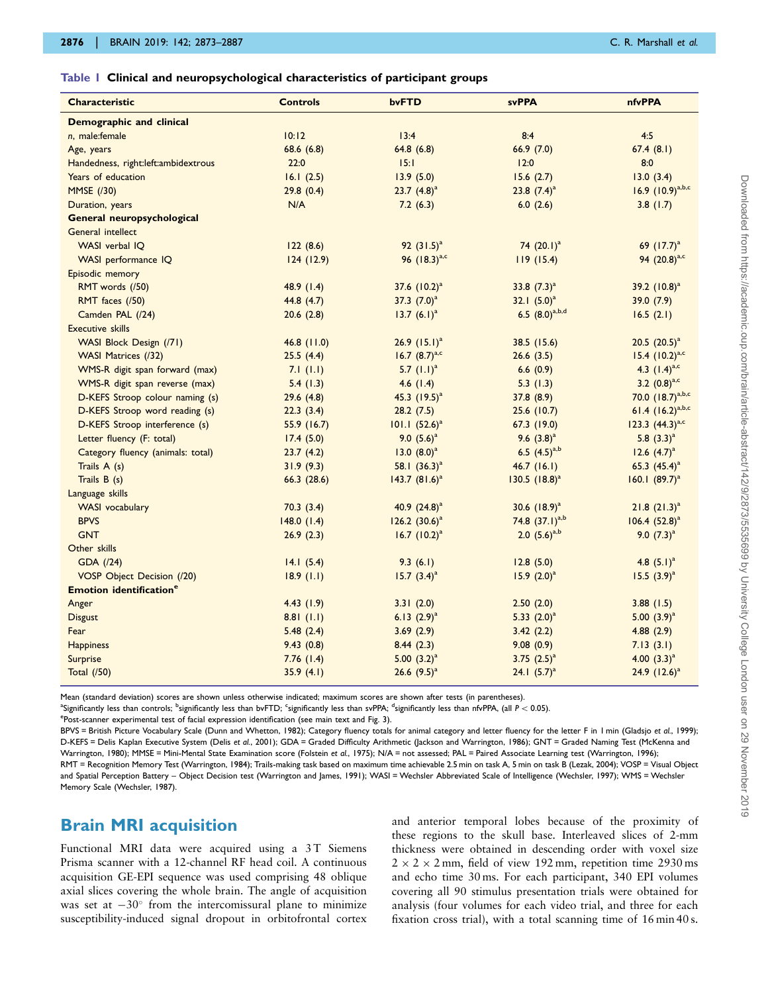#### <span id="page-3-0"></span>Table 1 Clinical and neuropsychological characteristics of participant groups

| <b>Characteristic</b>                     | <b>Controls</b> | <b>bvFTD</b>        | <b>svPPA</b>        | <b>nfvPPA</b>           |
|-------------------------------------------|-----------------|---------------------|---------------------|-------------------------|
| Demographic and clinical                  |                 |                     |                     |                         |
| n, male: female                           | 10:12           | 13:4                | 8:4                 | 4:5                     |
| Age, years                                | 68.6 (6.8)      | 64.8(6.8)           | 66.9(7.0)           | 67.4(8.1)               |
| Handedness, right:left:ambidextrous       | 22:0            | 15:1                | 12:0                | 8:0                     |
| Years of education                        | 16.1(2.5)       | 13.9(5.0)           | 15.6(2.7)           | 13.0(3.4)               |
| <b>MMSE</b> (/30)                         | 29.8(0.4)       | 23.7 $(4.8)^a$      | 23.8 $(7.4)^a$      | $16.9$ $(10.9)^{a,b,c}$ |
| Duration, years                           | N/A             | 7.2(6.3)            | 6.0(2.6)            | 3.8(1.7)                |
| General neuropsychological                |                 |                     |                     |                         |
| General intellect                         |                 |                     |                     |                         |
| WASI verbal IQ                            | 122(8.6)        | 92 $(31.5)^{a}$     | 74 $(20.1)^a$       | 69 $(17.7)^a$           |
| <b>WASI</b> performance IQ                | 124(12.9)       | 96 $(18.3)^{a,c}$   | 119(15.4)           | 94 $(20.8)^{a,c}$       |
| Episodic memory                           |                 |                     |                     |                         |
| RMT words (/50)                           | 48.9(1.4)       | 37.6 $(10.2)^a$     | 33.8 $(7.3)^a$      | 39.2 $(10.8)^a$         |
| RMT faces (/50)                           | 44.8 (4.7)      | 37.3 $(7.0)^a$      | 32.1 $(5.0)^a$      | 39.0(7.9)               |
| Camden PAL (/24)                          | 20.6(2.8)       | $13.7 (6.1)^a$      | 6.5 $(8.0)^{a,b,d}$ | 16.5(2.1)               |
| <b>Executive skills</b>                   |                 |                     |                     |                         |
| WASI Block Design (/71)                   | 46.8 $(11.0)$   | $26.9$ $(15.1)^{a}$ | 38.5 (15.6)         | 20.5 $(20.5)^{a}$       |
| <b>WASI Matrices (/32)</b>                | 25.5(4.4)       | $16.7 (8.7)^{a,c}$  | 26.6(3.5)           | $15.4$ $(10.2)^{a,c}$   |
| WMS-R digit span forward (max)            | $7.1$ (1.1)     | 5.7 $(1.1)^a$       | 6.6(0.9)            | 4.3 $(1.4)^{a,c}$       |
| WMS-R digit span reverse (max)            | 5.4(1.3)        | 4.6 $(1.4)$         | 5.3(1.3)            | 3.2 $(0.8)^{a,c}$       |
| D-KEFS Stroop colour naming (s)           | 29.6(4.8)       | 45.3 $(19.5)^{4}$   | 37.8(8.9)           | 70.0 $(18.7)^{a,b,c}$   |
| D-KEFS Stroop word reading (s)            | 22.3(3.4)       | 28.2(7.5)           | $25.6$ (10.7)       | $61.4$ $(16.2)^{a,b,c}$ |
| D-KEFS Stroop interference (s)            | 55.9(16.7)      | $101.1~(52.6)^a$    | 67.3(19.0)          | $123.3$ $(44.3)^{a,c}$  |
| Letter fluency (F: total)                 | 17.4(5.0)       | 9.0 $(5.6)^a$       | 9.6 $(3.8)^{a}$     | 5.8 $(3.3)^{a}$         |
| Category fluency (animals: total)         | 23.7(4.2)       | $13.0 (8.0)^{a}$    | 6.5 $(4.5)^{a,b}$   | $12.6$ $(4.7)^a$        |
| Trails A (s)                              | 31.9(9.3)       | 58.1 $(36.3)^a$     | 46.7(16.1)          | 65.3 $(45.4)^a$         |
| Trails B (s)                              | 66.3(28.6)      | $143.7 (81.6)^{a}$  | $130.5$ $(18.8)^a$  | 160.1 $(89.7)^a$        |
| Language skills                           |                 |                     |                     |                         |
| <b>WASI</b> vocabulary                    | 70.3(3.4)       | 40.9 $(24.8)^a$     | 30.6 $(18.9)^{a}$   | $21.8$ $(21.3)^{4}$     |
| <b>BPVS</b>                               | 148.0(1.4)      | $126.2$ $(30.6)^a$  | 74.8 $(37.1)^{a,b}$ | $106.4~(52.8)^{a}$      |
| <b>GNT</b>                                | 26.9(2.3)       | $16.7$ $(10.2)^a$   | 2.0 $(5.6)^{a,b}$   | 9.0 $(7.3)^a$           |
| Other skills                              |                 |                     |                     |                         |
| GDA (/24)                                 | 14.1(5.4)       | 9.3(6.1)            | 12.8(5.0)           | 4.8 $(5.1)^a$           |
| <b>VOSP Object Decision (/20)</b>         | 18.9(1.1)       | $15.7 (3.4)^{a}$    | $15.9 (2.0)^{a}$    | $15.5 (3.9)^{a}$        |
| <b>Emotion identification<sup>e</sup></b> |                 |                     |                     |                         |
| Anger                                     | 4.43(1.9)       | 3.31(2.0)           | 2.50(2.0)           | 3.88(1.5)               |
| <b>Disgust</b>                            | 8.81(1.1)       | 6.13 $(2.9)^a$      | 5.33 $(2.0)^a$      | 5.00 $(3.9)^a$          |
| Fear                                      | 5.48(2.4)       | 3.69(2.9)           | 3.42(2.2)           | 4.88(2.9)               |
| <b>Happiness</b>                          | 9.43(0.8)       | 8.44(2.3)           | 9.08(0.9)           | 7.13(3.1)               |
| Surprise                                  | 7.76(1.4)       | 5.00 $(3.2)^a$      | 3.75 $(2.5)^a$      | 4.00 $(3.3)^a$          |
| Total $(50)$                              | 35.9(4.1)       | 26.6 $(9.5)^{a}$    | 24.1 $(5.7)^a$      | 24.9 $(12.6)^a$         |

Mean (standard deviation) scores are shown unless otherwise indicated; maximum scores are shown after tests (in parentheses).

<sup>a</sup>Significantly less than controls; <sup>b</sup>significantly less than bvFTD; <sup>c</sup>significantly less than svPPA; <sup>d</sup>significantly less than nfvPPA, (all P < 0.05).

ePost-scanner experimental test of facial expression identification (see main text and [Fig. 3](#page-9-0)).

BPVS = British Picture Vocabulary Scale (Dunn and Whetton, 1982); Category fluency totals for animal category and letter fluency for the letter F in 1 min (Gladsjo et al., 1999); D-KEFS = Delis Kaplan Executive System (Delis et al., 2001); GDA = Graded Difficulty Arithmetic (Jackson and Warrington, 1986); GNT = Graded Naming Test (McKenna and Warrington, 1980); MMSE = Mini-Mental State Examination score (Folstein et al., 1975); N/A = not assessed; PAL = Paired Associate Learning test (Warrington, 1996); RMT = Recognition Memory Test (Warrington, 1984); Trails-making task based on maximum time achievable 2.5 min on task A, 5 min on task B (Lezak, 2004); VOSP = Visual Object and Spatial Perception Battery – Object Decision test (Warrington and James, 1991); WASI = Wechsler Abbreviated Scale of Intelligence (Wechsler, 1997); WMS = Wechsler

Memory Scale (Wechsler, 1987).

#### Brain MRI acquisition

Functional MRI data were acquired using a 3T Siemens Prisma scanner with a 12-channel RF head coil. A continuous acquisition GE-EPI sequence was used comprising 48 oblique axial slices covering the whole brain. The angle of acquisition was set at  $-30^{\circ}$  from the intercomissural plane to minimize susceptibility-induced signal dropout in orbitofrontal cortex

and anterior temporal lobes because of the proximity of these regions to the skull base. Interleaved slices of 2-mm thickness were obtained in descending order with voxel size  $2 \times 2 \times 2$  mm, field of view 192 mm, repetition time 2930 ms and echo time 30 ms. For each participant, 340 EPI volumes covering all 90 stimulus presentation trials were obtained for analysis (four volumes for each video trial, and three for each fixation cross trial), with a total scanning time of 16 min 40 s.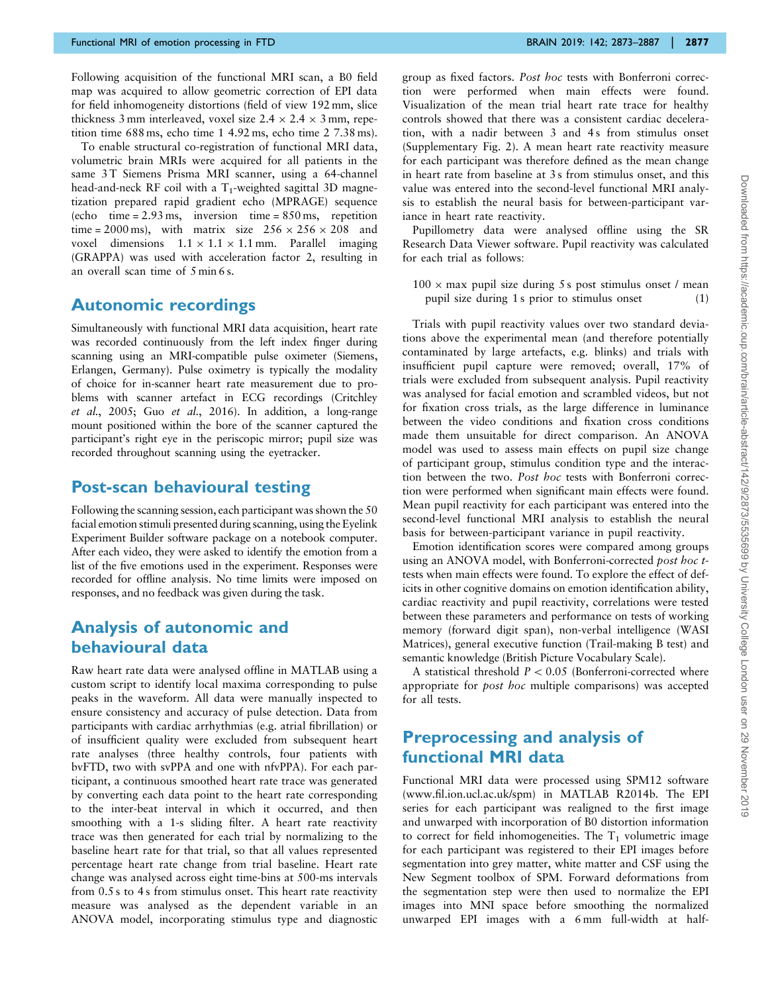Following acquisition of the functional MRI scan, a B0 field map was acquired to allow geometric correction of EPI data for field inhomogeneity distortions (field of view 192 mm, slice thickness 3 mm interleaved, voxel size 2.4  $\times$  2.4  $\times$  3 mm, repetition time 688 ms, echo time 1 4.92 ms, echo time 2 7.38 ms).

To enable structural co-registration of functional MRI data, volumetric brain MRIs were acquired for all patients in the same 3 T Siemens Prisma MRI scanner, using a 64-channel head-and-neck RF coil with a  $T_1$ -weighted sagittal 3D magnetization prepared rapid gradient echo (MPRAGE) sequence (echo time =  $2.93 \text{ ms}$ , inversion time =  $850 \text{ ms}$ , repetition time = 2000 ms), with matrix size  $256 \times 256 \times 208$  and voxel dimensions  $1.1 \times 1.1 \times 1.1$  mm. Parallel imaging (GRAPPA) was used with acceleration factor 2, resulting in an overall scan time of 5 min 6 s.

### Autonomic recordings

Simultaneously with functional MRI data acquisition, heart rate was recorded continuously from the left index finger during scanning using an MRI-compatible pulse oximeter (Siemens, Erlangen, Germany). Pulse oximetry is typically the modality of choice for in-scanner heart rate measurement due to problems with scanner artefact in ECG recordings [\(Critchley](#page-12-0) et al.[, 2005](#page-12-0); Guo et al.[, 2016\)](#page-13-0). In addition, a long-range mount positioned within the bore of the scanner captured the participant's right eye in the periscopic mirror; pupil size was recorded throughout scanning using the eyetracker.

#### Post-scan behavioural testing

Following the scanning session, each participant was shown the 50 facial emotion stimuli presented during scanning, using the Eyelink Experiment Builder software package on a notebook computer. After each video, they were asked to identify the emotion from a list of the five emotions used in the experiment. Responses were recorded for offline analysis. No time limits were imposed on responses, and no feedback was given during the task.

### Analysis of autonomic and behavioural data

Raw heart rate data were analysed offline in MATLAB using a custom script to identify local maxima corresponding to pulse peaks in the waveform. All data were manually inspected to ensure consistency and accuracy of pulse detection. Data from participants with cardiac arrhythmias (e.g. atrial fibrillation) or of insufficient quality were excluded from subsequent heart rate analyses (three healthy controls, four patients with bvFTD, two with svPPA and one with nfvPPA). For each participant, a continuous smoothed heart rate trace was generated by converting each data point to the heart rate corresponding to the inter-beat interval in which it occurred, and then smoothing with a 1-s sliding filter. A heart rate reactivity trace was then generated for each trial by normalizing to the baseline heart rate for that trial, so that all values represented percentage heart rate change from trial baseline. Heart rate change was analysed across eight time-bins at 500-ms intervals from 0.5 s to 4 s from stimulus onset. This heart rate reactivity measure was analysed as the dependent variable in an ANOVA model, incorporating stimulus type and diagnostic

group as fixed factors. Post hoc tests with Bonferroni correction were performed when main effects were found. Visualization of the mean trial heart rate trace for healthy controls showed that there was a consistent cardiac deceleration, with a nadir between 3 and 4 s from stimulus onset [\(Supplementary Fig. 2\)](https://academic.oup.com/brainj/article-lookup/doi/10.1093/brainj/awz204#supplementary-data). A mean heart rate reactivity measure for each participant was therefore defined as the mean change in heart rate from baseline at 3 s from stimulus onset, and this value was entered into the second-level functional MRI analysis to establish the neural basis for between-participant variance in heart rate reactivity.

Pupillometry data were analysed offline using the SR Research Data Viewer software. Pupil reactivity was calculated for each trial as follows:

 $100 \times$  max pupil size during 5 s post stimulus onset / mean pupil size during 1 s prior to stimulus onset (1)

Trials with pupil reactivity values over two standard deviations above the experimental mean (and therefore potentially contaminated by large artefacts, e.g. blinks) and trials with insufficient pupil capture were removed; overall, 17% of trials were excluded from subsequent analysis. Pupil reactivity was analysed for facial emotion and scrambled videos, but not for fixation cross trials, as the large difference in luminance between the video conditions and fixation cross conditions made them unsuitable for direct comparison. An ANOVA model was used to assess main effects on pupil size change of participant group, stimulus condition type and the interaction between the two. Post hoc tests with Bonferroni correction were performed when significant main effects were found. Mean pupil reactivity for each participant was entered into the second-level functional MRI analysis to establish the neural basis for between-participant variance in pupil reactivity.

Emotion identification scores were compared among groups using an ANOVA model, with Bonferroni-corrected post hoc ttests when main effects were found. To explore the effect of deficits in other cognitive domains on emotion identification ability, cardiac reactivity and pupil reactivity, correlations were tested between these parameters and performance on tests of working memory (forward digit span), non-verbal intelligence (WASI Matrices), general executive function (Trail-making B test) and semantic knowledge (British Picture Vocabulary Scale).

A statistical threshold  $P < 0.05$  (Bonferroni-corrected where appropriate for post hoc multiple comparisons) was accepted for all tests.

### Preprocessing and analysis of functional MRI data

Functional MRI data were processed using SPM12 software [\(www.fil.ion.ucl.ac.uk/spm\)](www.fil.ion.ucl.ac.uk/spm) in MATLAB R2014b. The EPI series for each participant was realigned to the first image and unwarped with incorporation of B0 distortion information to correct for field inhomogeneities. The  $T_1$  volumetric image for each participant was registered to their EPI images before segmentation into grey matter, white matter and CSF using the New Segment toolbox of SPM. Forward deformations from the segmentation step were then used to normalize the EPI images into MNI space before smoothing the normalized unwarped EPI images with a 6 mm full-width at half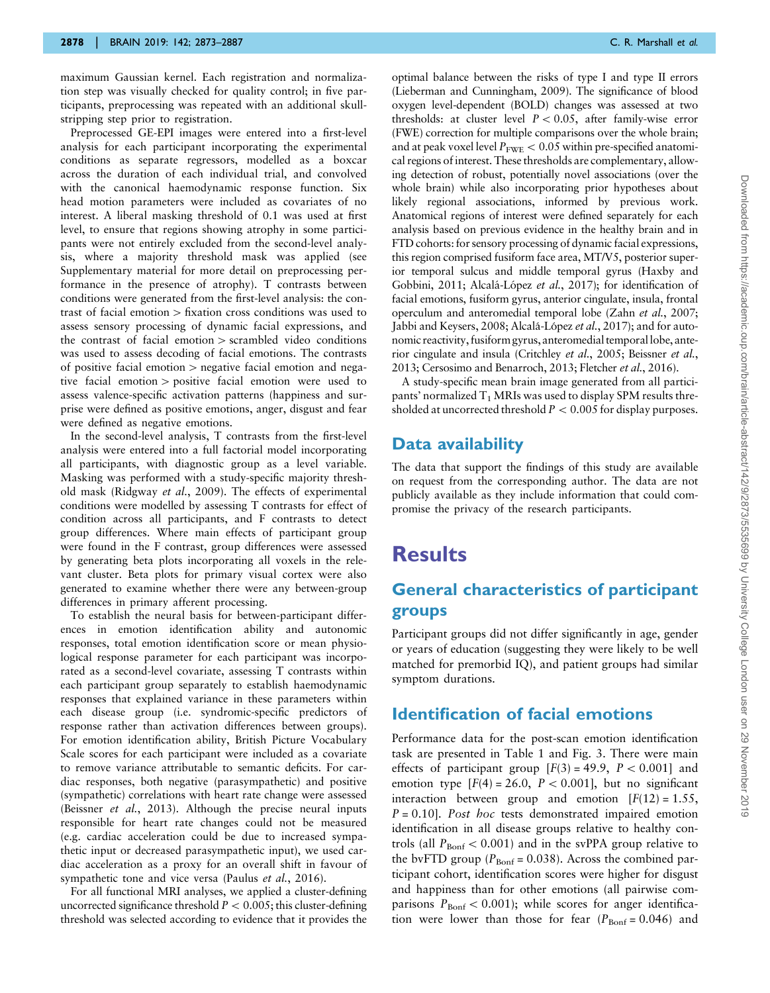maximum Gaussian kernel. Each registration and normalization step was visually checked for quality control; in five participants, preprocessing was repeated with an additional skullstripping step prior to registration.

Preprocessed GE-EPI images were entered into a first-level analysis for each participant incorporating the experimental conditions as separate regressors, modelled as a boxcar across the duration of each individual trial, and convolved with the canonical haemodynamic response function. Six head motion parameters were included as covariates of no interest. A liberal masking threshold of 0.1 was used at first level, to ensure that regions showing atrophy in some participants were not entirely excluded from the second-level analysis, where a majority threshold mask was applied (see [Supplementary material](https://academic.oup.com/brainj/article-lookup/doi/10.1093/brainj/awz204#supplementary-data) for more detail on preprocessing performance in the presence of atrophy). T contrasts between conditions were generated from the first-level analysis: the contrast of facial emotion  $>$  fixation cross conditions was used to assess sensory processing of dynamic facial expressions, and the contrast of facial emotion  $>$  scrambled video conditions was used to assess decoding of facial emotions. The contrasts of positive facial emotion  $>$  negative facial emotion and negative facial emotion > positive facial emotion were used to assess valence-specific activation patterns (happiness and surprise were defined as positive emotions, anger, disgust and fear were defined as negative emotions.

In the second-level analysis, T contrasts from the first-level analysis were entered into a full factorial model incorporating all participants, with diagnostic group as a level variable. Masking was performed with a study-specific majority threshold mask [\(Ridgway](#page-13-0) et al., 2009). The effects of experimental conditions were modelled by assessing T contrasts for effect of condition across all participants, and F contrasts to detect group differences. Where main effects of participant group were found in the F contrast, group differences were assessed by generating beta plots incorporating all voxels in the relevant cluster. Beta plots for primary visual cortex were also generated to examine whether there were any between-group differences in primary afferent processing.

To establish the neural basis for between-participant differences in emotion identification ability and autonomic responses, total emotion identification score or mean physiological response parameter for each participant was incorporated as a second-level covariate, assessing T contrasts within each participant group separately to establish haemodynamic responses that explained variance in these parameters within each disease group (i.e. syndromic-specific predictors of response rather than activation differences between groups). For emotion identification ability, British Picture Vocabulary Scale scores for each participant were included as a covariate to remove variance attributable to semantic deficits. For cardiac responses, both negative (parasympathetic) and positive (sympathetic) correlations with heart rate change were assessed [\(Beissner](#page-12-0) *et al.*, 2013). Although the precise neural inputs responsible for heart rate changes could not be measured (e.g. cardiac acceleration could be due to increased sympathetic input or decreased parasympathetic input), we used cardiac acceleration as a proxy for an overall shift in favour of sympathetic tone and vice versa (Paulus et al.[, 2016\)](#page-13-0).

For all functional MRI analyses, we applied a cluster-defining uncorrected significance threshold  $P < 0.005$ ; this cluster-defining threshold was selected according to evidence that it provides the

optimal balance between the risks of type I and type II errors ([Lieberman and Cunningham, 2009](#page-13-0)). The significance of blood oxygen level-dependent (BOLD) changes was assessed at two thresholds: at cluster level  $P < 0.05$ , after family-wise error (FWE) correction for multiple comparisons over the whole brain; and at peak voxel level  $P_{\text{FWE}} < 0.05$  within pre-specified anatomical regions of interest. These thresholds are complementary, allowing detection of robust, potentially novel associations (over the whole brain) while also incorporating prior hypotheses about likely regional associations, informed by previous work. Anatomical regions of interest were defined separately for each analysis based on previous evidence in the healthy brain and in FTD cohorts: for sensory processing of dynamic facial expressions, this region comprised fusiform face area, MT/V5, posterior superior temporal sulcus and middle temporal gyrus ([Haxby and](#page-13-0) [Gobbini, 2011](#page-13-0); Alcalá-López et al., 2017); for identification of facial emotions, fusiform gyrus, anterior cingulate, insula, frontal operculum and anteromedial temporal lobe (Zahn et al.[, 2007;](#page-14-0) [Jabbi and Keysers, 2008](#page-13-0); Alcalá-López et al., 2017); and for autonomic reactivity, fusiform gyrus, anteromedial temporal lobe, anterior cingulate and insula ([Critchley](#page-12-0) et al., 2005; [Beissner](#page-12-0) et al., [2013](#page-12-0); [Cersosimo and Benarroch, 2013](#page-12-0); [Fletcher](#page-13-0) et al., 2016).

A study-specific mean brain image generated from all participants' normalized  $T_1$  MRIs was used to display SPM results thresholded at uncorrected threshold  $P < 0.005$  for display purposes.

### Data availability

The data that support the findings of this study are available on request from the corresponding author. The data are not publicly available as they include information that could compromise the privacy of the research participants.

### **Results**

### General characteristics of participant groups

Participant groups did not differ significantly in age, gender or years of education (suggesting they were likely to be well matched for premorbid IQ), and patient groups had similar symptom durations.

### Identification of facial emotions

Performance data for the post-scan emotion identification task are presented in [Table 1](#page-3-0) and [Fig. 3.](#page-9-0) There were main effects of participant group  $[F(3) = 49.9, P < 0.001]$  and emotion type  $[F(4) = 26.0, P < 0.001]$ , but no significant interaction between group and emotion  $[F(12) = 1.55]$ ,  $P = 0.10$ ]. Post hoc tests demonstrated impaired emotion identification in all disease groups relative to healthy controls (all  $P_{\text{Bonf}} < 0.001$ ) and in the svPPA group relative to the bvFTD group ( $P_{\text{Bonf}} = 0.038$ ). Across the combined participant cohort, identification scores were higher for disgust and happiness than for other emotions (all pairwise comparisons  $P_{\text{Bonf}} < 0.001$ ); while scores for anger identification were lower than those for fear ( $P_{\text{Bonf}} = 0.046$ ) and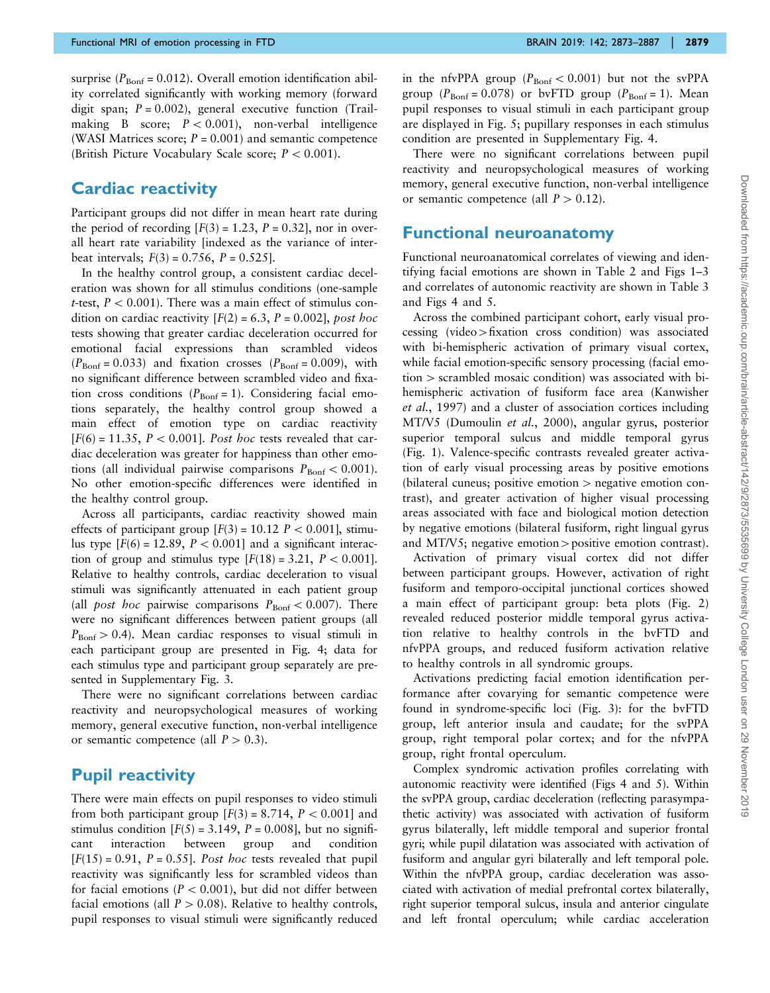surprise ( $P_{\text{Bonf}} = 0.012$ ). Overall emotion identification ability correlated significantly with working memory (forward digit span;  $P = 0.002$ ), general executive function (Trailmaking B score;  $P < 0.001$ ), non-verbal intelligence (WASI Matrices score;  $P = 0.001$ ) and semantic competence (British Picture Vocabulary Scale score;  $P < 0.001$ ).

#### Cardiac reactivity

Participant groups did not differ in mean heart rate during the period of recording  $[F(3) = 1.23, P = 0.32]$ , nor in overall heart rate variability [indexed as the variance of interbeat intervals;  $F(3) = 0.756$ ,  $P = 0.525$ ].

In the healthy control group, a consistent cardiac deceleration was shown for all stimulus conditions (one-sample t-test,  $P < 0.001$ ). There was a main effect of stimulus condition on cardiac reactivity  $[F(2) = 6.3, P = 0.002]$ , post hoc tests showing that greater cardiac deceleration occurred for emotional facial expressions than scrambled videos  $(P_{\text{Bonf}} = 0.033)$  and fixation crosses  $(P_{\text{Bonf}} = 0.009)$ , with no significant difference between scrambled video and fixation cross conditions ( $P_{\text{Bonf}} = 1$ ). Considering facial emotions separately, the healthy control group showed a main effect of emotion type on cardiac reactivity  $[F(6) = 11.35, P < 0.001]$ . Post hoc tests revealed that cardiac deceleration was greater for happiness than other emotions (all individual pairwise comparisons  $P_{\text{Bonf}} < 0.001$ ). No other emotion-specific differences were identified in the healthy control group.

Across all participants, cardiac reactivity showed main effects of participant group  $[F(3) = 10.12 \text{ } P < 0.001]$ , stimulus type  $[F(6) = 12.89, P < 0.001]$  and a significant interaction of group and stimulus type  $[F(18) = 3.21, P < 0.001]$ . Relative to healthy controls, cardiac deceleration to visual stimuli was significantly attenuated in each patient group (all *post hoc* pairwise comparisons  $P_{\text{Bonf}} < 0.007$ ). There were no significant differences between patient groups (all  $P_{\text{Bonf}} > 0.4$ ). Mean cardiac responses to visual stimuli in each participant group are presented in [Fig. 4;](#page-11-0) data for each stimulus type and participant group separately are presented in [Supplementary Fig. 3.](https://academic.oup.com/brainj/article-lookup/doi/10.1093/brainj/awz204#supplementary-data)

There were no significant correlations between cardiac reactivity and neuropsychological measures of working memory, general executive function, non-verbal intelligence or semantic competence (all  $P > 0.3$ ).

#### Pupil reactivity

There were main effects on pupil responses to video stimuli from both participant group  $[F(3) = 8.714, P < 0.001]$  and stimulus condition  $[F(5) = 3.149, P = 0.008]$ , but no significant interaction between group and condition  $[F(15) = 0.91, P = 0.55]$ . Post hoc tests revealed that pupil reactivity was significantly less for scrambled videos than for facial emotions ( $P < 0.001$ ), but did not differ between facial emotions (all  $P > 0.08$ ). Relative to healthy controls, pupil responses to visual stimuli were significantly reduced

in the nfvPPA group ( $P_{\text{Bonf}} < 0.001$ ) but not the svPPA group ( $P_{\text{Bonf}} = 0.078$ ) or bvFTD group ( $P_{\text{Bonf}} = 1$ ). Mean pupil responses to visual stimuli in each participant group are displayed in [Fig. 5;](#page-12-0) pupillary responses in each stimulus condition are presented in [Supplementary Fig. 4.](https://academic.oup.com/brainj/article-lookup/doi/10.1093/brainj/awz204#supplementary-data)

There were no significant correlations between pupil reactivity and neuropsychological measures of working memory, general executive function, non-verbal intelligence or semantic competence (all  $P > 0.12$ ).

#### Functional neuroanatomy

Functional neuroanatomical correlates of viewing and identifying facial emotions are shown in [Table 2](#page-7-0) and [Figs 1–](#page-8-0)[3](#page-9-0) and correlates of autonomic reactivity are shown in [Table 3](#page-10-0) and [Figs 4](#page-11-0) and [5.](#page-12-0)

Across the combined participant cohort, early visual processing (video $>$ fixation cross condition) was associated with bi-hemispheric activation of primary visual cortex, while facial emotion-specific sensory processing (facial emo $tion$   $>$  scrambled mosaic condition) was associated with bihemispheric activation of fusiform face area [\(Kanwisher](#page-13-0) et al.[, 1997](#page-13-0)) and a cluster of association cortices including MT/V5 [\(Dumoulin](#page-12-0) et al., 2000), angular gyrus, posterior superior temporal sulcus and middle temporal gyrus ([Fig. 1](#page-8-0)). Valence-specific contrasts revealed greater activation of early visual processing areas by positive emotions (bilateral cuneus; positive emotion  $\ge$  negative emotion contrast), and greater activation of higher visual processing areas associated with face and biological motion detection by negative emotions (bilateral fusiform, right lingual gyrus and MT/V5; negative emotion  $>$  positive emotion contrast).

Activation of primary visual cortex did not differ between participant groups. However, activation of right fusiform and temporo-occipital junctional cortices showed a main effect of participant group: beta plots ([Fig. 2](#page-9-0)) revealed reduced posterior middle temporal gyrus activation relative to healthy controls in the bvFTD and nfvPPA groups, and reduced fusiform activation relative to healthy controls in all syndromic groups.

Activations predicting facial emotion identification performance after covarying for semantic competence were found in syndrome-specific loci ([Fig. 3](#page-9-0)): for the bvFTD group, left anterior insula and caudate; for the svPPA group, right temporal polar cortex; and for the nfvPPA group, right frontal operculum.

Complex syndromic activation profiles correlating with autonomic reactivity were identified [\(Figs 4](#page-11-0) and [5](#page-12-0)). Within the svPPA group, cardiac deceleration (reflecting parasympathetic activity) was associated with activation of fusiform gyrus bilaterally, left middle temporal and superior frontal gyri; while pupil dilatation was associated with activation of fusiform and angular gyri bilaterally and left temporal pole. Within the nfvPPA group, cardiac deceleration was associated with activation of medial prefrontal cortex bilaterally, right superior temporal sulcus, insula and anterior cingulate and left frontal operculum; while cardiac acceleration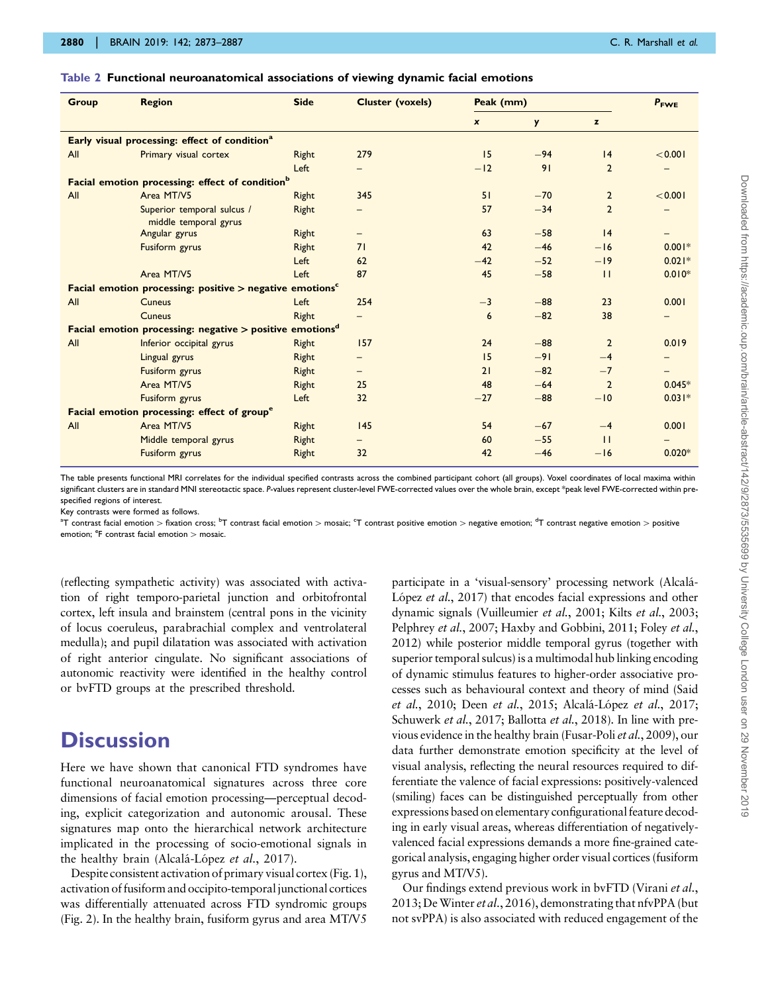<span id="page-7-0"></span>

|  | Table 2  Functional neuroanatomical associations of viewing dynamic facial emotions |  |  |  |  |
|--|-------------------------------------------------------------------------------------|--|--|--|--|
|  |                                                                                     |  |  |  |  |

| <b>Group</b> | <b>Region</b>                                                                 | <b>Side</b>  | <b>Cluster (voxels)</b> | Peak (mm)        |       |                | $P_{\text{FWE}}$ |
|--------------|-------------------------------------------------------------------------------|--------------|-------------------------|------------------|-------|----------------|------------------|
|              |                                                                               |              |                         | $\boldsymbol{x}$ | y     | z              |                  |
|              | Early visual processing: effect of condition <sup>a</sup>                     |              |                         |                  |       |                |                  |
| All          | Primary visual cortex                                                         | Right        | 279                     | 15               | $-94$ | 4              | < 0.001          |
|              |                                                                               | Left         |                         | $-12$            | 91    | $\overline{2}$ |                  |
|              | Facial emotion processing: effect of condition <sup>b</sup>                   |              |                         |                  |       |                |                  |
| All          | Area MT/V5                                                                    | <b>Right</b> | 345                     | 51               | $-70$ | $\overline{2}$ | < 0.001          |
|              | Superior temporal sulcus /<br>middle temporal gyrus                           | Right        |                         | 57               | $-34$ | $\overline{2}$ |                  |
|              | Angular gyrus                                                                 | <b>Right</b> | -                       | 63               | $-58$ | 4              |                  |
|              | Fusiform gyrus                                                                | Right        | 71                      | 42               | $-46$ | $-16$          | $0.001*$         |
|              |                                                                               | Left         | 62                      | $-42$            | $-52$ | $-19$          | $0.021*$         |
|              | Area MT/V5                                                                    | Left         | 87                      | 45               | $-58$ | $\mathbf{H}$   | $0.010*$         |
|              | <b>Facial emotion processing: positive &gt; negative emotions<sup>c</sup></b> |              |                         |                  |       |                |                  |
| All          | <b>Cuneus</b>                                                                 | Left         | 254                     | $-3$             | $-88$ | 23             | 0.001            |
|              | Cuneus                                                                        | Right        |                         | 6                | $-82$ | 38             |                  |
|              | Facial emotion processing: negative > positive emotions <sup>d</sup>          |              |                         |                  |       |                |                  |
| All          | Inferior occipital gyrus                                                      | <b>Right</b> | 157                     | 24               | $-88$ | $\overline{2}$ | 0.019            |
|              | Lingual gyrus                                                                 | Right        |                         | 15               | $-91$ | $-4$           |                  |
|              | Fusiform gyrus                                                                | Right        | -                       | 21               | $-82$ | $-7$           |                  |
|              | Area MT/V5                                                                    | <b>Right</b> | 25                      | 48               | $-64$ | $\overline{2}$ | $0.045*$         |
|              | Fusiform gyrus                                                                | Left         | 32                      | $-27$            | $-88$ | $-10$          | $0.031*$         |
|              | Facial emotion processing: effect of group <sup>e</sup>                       |              |                         |                  |       |                |                  |
| All          | Area MT/V5                                                                    | Right        | 145                     | 54               | $-67$ | $-4$           | 0.001            |
|              | Middle temporal gyrus                                                         | Right        | $-$                     | 60               | $-55$ | $\mathbf{H}$   |                  |
|              | Fusiform gyrus                                                                | Right        | 32                      | 42               | $-46$ | $-16$          | $0.020*$         |

The table presents functional MRI correlates for the individual specified contrasts across the combined participant cohort (all groups). Voxel coordinates of local maxima within significant clusters are in standard MNI stereotactic space. P-values represent cluster-level FWE-corrected values over the whole brain, except \*peak level FWE-corrected within prespecified regions of interest.

Key contrasts were formed as follows.

<sup>a</sup>T contrast facial emotion > fixation cross; <sup>b</sup>T contrast facial emotion > mosaic; 'T contrast positive emotion > negative emotion; <sup>d</sup>T contrast negative emotion > positive emotion; <sup>e</sup>F contrast facial emotion > mosaic.

(reflecting sympathetic activity) was associated with activation of right temporo-parietal junction and orbitofrontal cortex, left insula and brainstem (central pons in the vicinity of locus coeruleus, parabrachial complex and ventrolateral medulla); and pupil dilatation was associated with activation of right anterior cingulate. No significant associations of autonomic reactivity were identified in the healthy control or bvFTD groups at the prescribed threshold.

### **Discussion**

Here we have shown that canonical FTD syndromes have functional neuroanatomical signatures across three core dimensions of facial emotion processing—perceptual decoding, explicit categorization and autonomic arousal. These signatures map onto the hierarchical network architecture implicated in the processing of socio-emotional signals in the healthy brain (Alcalá-López et al., 2017).

Despite consistent activation of primary visual cortex [\(Fig. 1\)](#page-8-0), activation of fusiform and occipito-temporal junctional cortices was differentially attenuated across FTD syndromic groups [\(Fig. 2\)](#page-9-0). In the healthy brain, fusiform gyrus and area MT/V5

participate in a 'visual-sensory' processing network (Alcalá-López et al.[, 2017](#page-12-0)) that encodes facial expressions and other dynamic signals [\(Vuilleumier](#page-14-0) et al., 2001; Kilts et al.[, 2003](#page-13-0); [Pelphrey](#page-13-0) et al., 2007; [Haxby and Gobbini, 2011; Foley](#page-13-0) et al., [2012\)](#page-13-0) while posterior middle temporal gyrus (together with superior temporal sulcus) is a multimodal hub linking encoding of dynamic stimulus features to higher-order associative processes such as behavioural context and theory of mind [\(Said](#page-13-0) et al.[, 2010;](#page-13-0) Deen et al.[, 2015](#page-12-0); Alcalá-López et al., 2017; [Schuwerk](#page-14-0) et al., 2017; [Ballotta](#page-12-0) et al., 2018). In line with previous evidence in the healthy brain ([Fusar-Poli](#page-13-0) et al., 2009), our data further demonstrate emotion specificity at the level of visual analysis, reflecting the neural resources required to differentiate the valence of facial expressions: positively-valenced (smiling) faces can be distinguished perceptually from other expressions based on elementary configurational feature decoding in early visual areas, whereas differentiation of negativelyvalenced facial expressions demands a more fine-grained categorical analysis, engaging higher order visual cortices (fusiform gyrus and MT/V5).

Our findings extend previous work in bvFTD [\(Virani](#page-14-0) et al., [2013;](#page-14-0) [DeWinter](#page-12-0) et al., 2016), demonstrating that nfvPPA (but not svPPA) is also associated with reduced engagement of the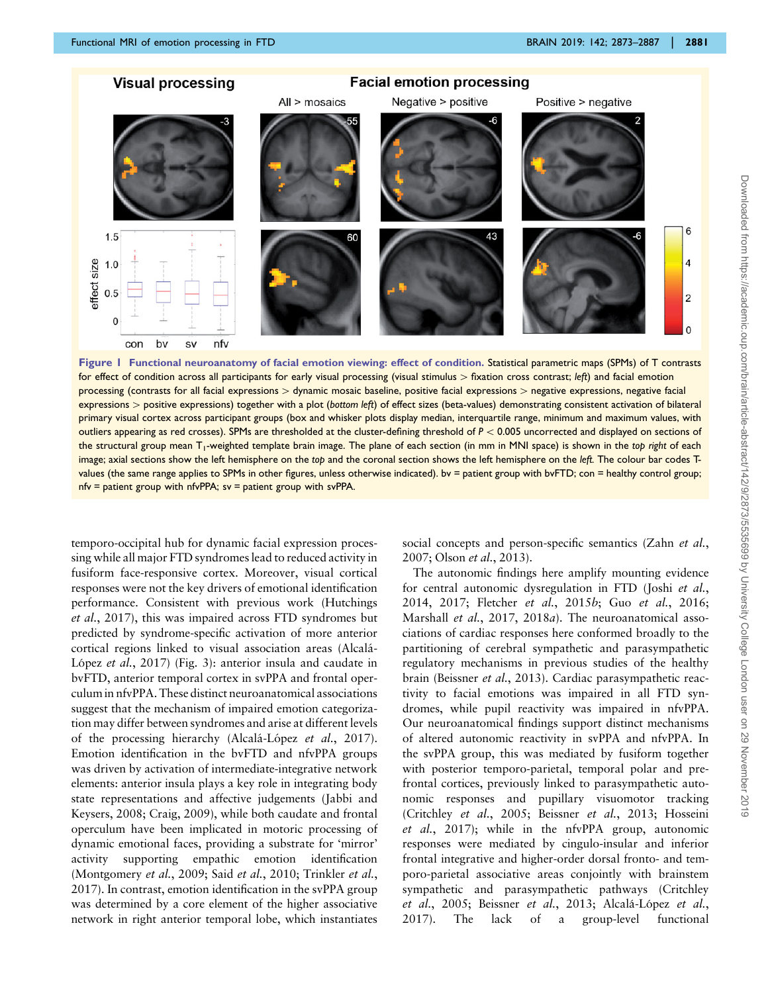<span id="page-8-0"></span>

Figure 1 Functional neuroanatomy of facial emotion viewing: effect of condition. Statistical parametric maps (SPMs) of T contrasts for effect of condition across all participants for early visual processing (visual stimulus > fixation cross contrast; left) and facial emotion processing (contrasts for all facial expressions  $>$  dynamic mosaic baseline, positive facial expressions  $>$  negative expressions, negative facial expressions > positive expressions) together with a plot (bottom left) of effect sizes (beta-values) demonstrating consistent activation of bilateral primary visual cortex across participant groups (box and whisker plots display median, interquartile range, minimum and maximum values, with outliers appearing as red crosses). SPMs are thresholded at the cluster-defining threshold of  $P < 0.005$  uncorrected and displayed on sections of the structural group mean  $T_1$ -weighted template brain image. The plane of each section (in mm in MNI space) is shown in the top right of each image; axial sections show the left hemisphere on the top and the coronal section shows the left hemisphere on the left. The colour bar codes Tvalues (the same range applies to SPMs in other figures, unless otherwise indicated). bv = patient group with bvFTD; con = healthy control group;  $nfv =$  patient group with nfvPPA; sv = patient group with svPPA.

temporo-occipital hub for dynamic facial expression processing while all major FTD syndromes lead to reduced activity in fusiform face-responsive cortex. Moreover, visual cortical responses were not the key drivers of emotional identification performance. Consistent with previous work ([Hutchings](#page-13-0) et al.[, 2017](#page-13-0)), this was impaired across FTD syndromes but predicted by syndrome-specific activation of more anterior cortical regions linked to visual association areas ([Alcala´-](#page-12-0) López et al.[, 2017\)](#page-12-0) [\(Fig. 3](#page-9-0)): anterior insula and caudate in bvFTD, anterior temporal cortex in svPPA and frontal operculum in nfvPPA. These distinct neuroanatomical associations suggest that the mechanism of impaired emotion categorization may differ between syndromes and arise at different levels of the processing hierarchy (Alcalá-López et al., 2017). Emotion identification in the bvFTD and nfvPPA groups was driven by activation of intermediate-integrative network elements: anterior insula plays a key role in integrating body state representations and affective judgements [\(Jabbi and](#page-13-0) [Keysers, 2008;](#page-13-0) [Craig, 2009](#page-12-0)), while both caudate and frontal operculum have been implicated in motoric processing of dynamic emotional faces, providing a substrate for 'mirror' activity supporting empathic emotion identification ([Montgomery](#page-13-0) et al., 2009; Said et al.[, 2010;](#page-13-0) [Trinkler](#page-14-0) et al., [2017\)](#page-14-0). In contrast, emotion identification in the svPPA group was determined by a core element of the higher associative network in right anterior temporal lobe, which instantiates

social concepts and person-specific semantics ([Zahn](#page-14-0) et al., [2007](#page-14-0); Olson et al.[, 2013](#page-13-0)).

The autonomic findings here amplify mounting evidence for central autonomic dysregulation in FTD (Joshi [et al.](#page-13-0), [2014](#page-13-0), [2017](#page-13-0); [Fletcher](#page-13-0) et al., 2015b; Guo et al.[, 2016;](#page-13-0) [Marshall](#page-13-0) *et al.*, 2017, [2018](#page-13-0)*a*). The neuroanatomical associations of cardiac responses here conformed broadly to the partitioning of cerebral sympathetic and parasympathetic regulatory mechanisms in previous studies of the healthy brain [\(Beissner](#page-12-0) et al., 2013). Cardiac parasympathetic reactivity to facial emotions was impaired in all FTD syndromes, while pupil reactivity was impaired in nfvPPA. Our neuroanatomical findings support distinct mechanisms of altered autonomic reactivity in svPPA and nfvPPA. In the svPPA group, this was mediated by fusiform together with posterior temporo-parietal, temporal polar and prefrontal cortices, previously linked to parasympathetic autonomic responses and pupillary visuomotor tracking ([Critchley](#page-12-0) et al., 2005; [Beissner](#page-12-0) et al., 2013; [Hosseini](#page-13-0) et al.[, 2017](#page-13-0)); while in the nfvPPA group, autonomic responses were mediated by cingulo-insular and inferior frontal integrative and higher-order dorsal fronto- and temporo-parietal associative areas conjointly with brainstem sympathetic and parasympathetic pathways ([Critchley](#page-12-0) et al.[, 2005; Beissner](#page-12-0) et al., 2013; Alcalá-López et al., [2017](#page-12-0)). The lack of a group-level functional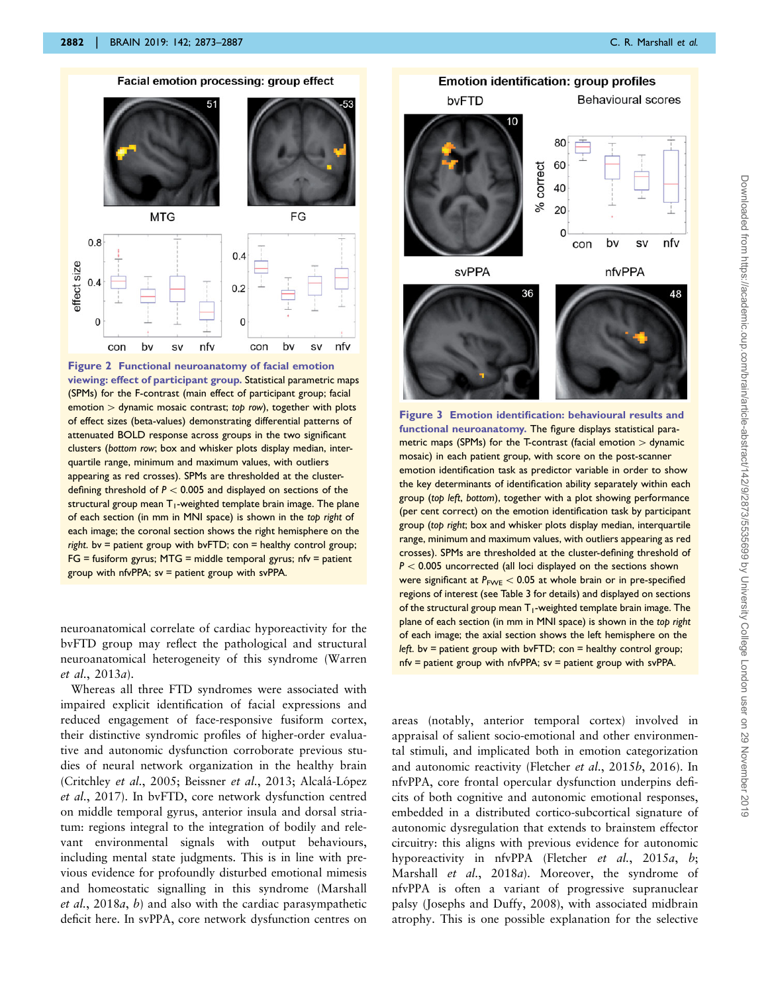

<span id="page-9-0"></span>

Figure 2 Functional neuroanatomy of facial emotion viewing: effect of participant group. Statistical parametric maps (SPMs) for the F-contrast (main effect of participant group; facial  $e$ emotion  $>$  dynamic mosaic contrast; top row), together with plots of effect sizes (beta-values) demonstrating differential patterns of attenuated BOLD response across groups in the two significant clusters (bottom row; box and whisker plots display median, interquartile range, minimum and maximum values, with outliers appearing as red crosses). SPMs are thresholded at the clusterdefining threshold of  $P < 0.005$  and displayed on sections of the structural group mean  $T_1$ -weighted template brain image. The plane of each section (in mm in MNI space) is shown in the top right of each image; the coronal section shows the right hemisphere on the right. by  $=$  patient group with bvFTD; con  $=$  healthy control group;  $FG =$  fusiform gyrus; MTG = middle temporal gyrus; nfv = patient group with nfvPPA; sv = patient group with svPPA.

neuroanatomical correlate of cardiac hyporeactivity for the bvFTD group may reflect the pathological and structural neuroanatomical heterogeneity of this syndrome [\(Warren](#page-14-0) et al.[, 2013](#page-14-0)a).

Whereas all three FTD syndromes were associated with impaired explicit identification of facial expressions and reduced engagement of face-responsive fusiform cortex, their distinctive syndromic profiles of higher-order evaluative and autonomic dysfunction corroborate previous studies of neural network organization in the healthy brain [\(Critchley](#page-12-0) et al., 2005; [Beissner](#page-12-0) et al., 2013; Alcalá-López et al.[, 2017](#page-12-0)). In bvFTD, core network dysfunction centred on middle temporal gyrus, anterior insula and dorsal striatum: regions integral to the integration of bodily and relevant environmental signals with output behaviours, including mental state judgments. This is in line with previous evidence for profoundly disturbed emotional mimesis and homeostatic signalling in this syndrome ([Marshall](#page-13-0) et al.[, 2018](#page-13-0)a, b) and also with the cardiac parasympathetic deficit here. In svPPA, core network dysfunction centres on



Figure 3 Emotion identification: behavioural results and functional neuroanatomy. The figure displays statistical parametric maps (SPMs) for the T-contrast (facial emotion  $>$  dynamic mosaic) in each patient group, with score on the post-scanner emotion identification task as predictor variable in order to show the key determinants of identification ability separately within each group (top left, bottom), together with a plot showing performance (per cent correct) on the emotion identification task by participant group (top right; box and whisker plots display median, interquartile range, minimum and maximum values, with outliers appearing as red crosses). SPMs are thresholded at the cluster-defining threshold of  $P < 0.005$  uncorrected (all loci displayed on the sections shown were significant at  $P_{\text{FWE}}$  < 0.05 at whole brain or in pre-specified regions of interest (see [Table 3](#page-10-0) for details) and displayed on sections of the structural group mean  $T_1$ -weighted template brain image. The plane of each section (in mm in MNI space) is shown in the top right of each image; the axial section shows the left hemisphere on the left. by  $=$  patient group with bvFTD; con  $=$  healthy control group; nfv = patient group with nfvPPA; sv = patient group with svPPA.

areas (notably, anterior temporal cortex) involved in appraisal of salient socio-emotional and other environmental stimuli, and implicated both in emotion categorization and autonomic reactivity [\(Fletcher](#page-13-0) et al., 2015b, [2016](#page-13-0)). In nfvPPA, core frontal opercular dysfunction underpins deficits of both cognitive and autonomic emotional responses, embedded in a distributed cortico-subcortical signature of autonomic dysregulation that extends to brainstem effector circuitry: this aligns with previous evidence for autonomic hyporeactivity in nfvPPA (Fletcher et al.[, 2015](#page-13-0)a, b; [Marshall](#page-13-0) et al., 2018a). Moreover, the syndrome of nfvPPA is often a variant of progressive supranuclear palsy ([Josephs and Duffy, 2008](#page-13-0)), with associated midbrain atrophy. This is one possible explanation for the selective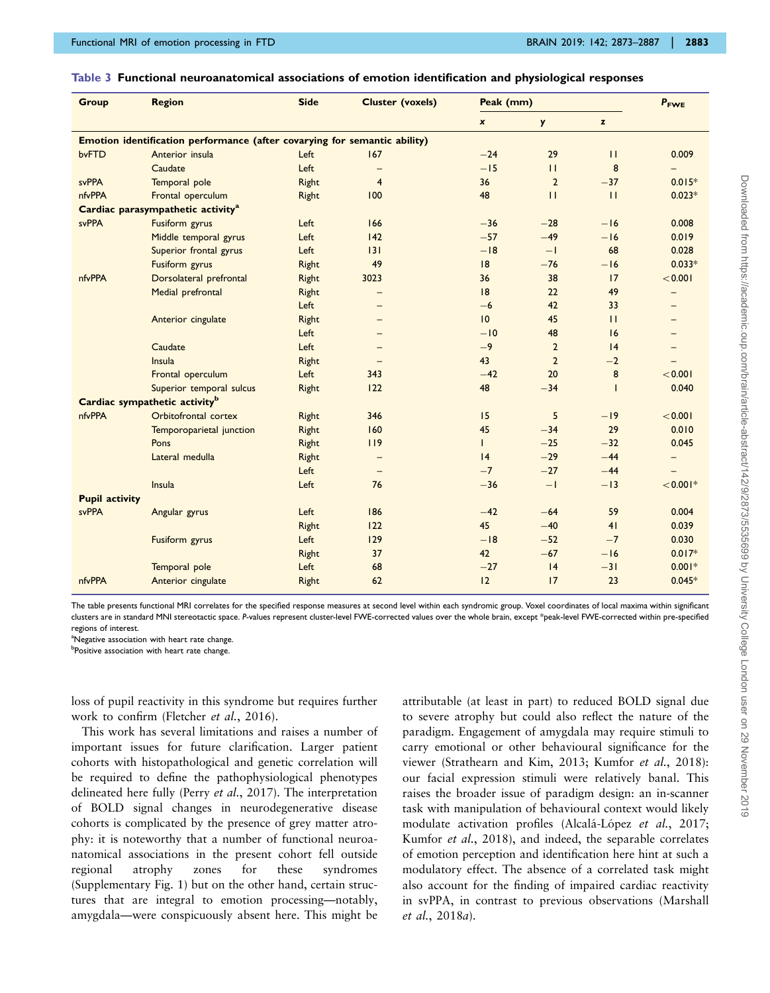<span id="page-10-0"></span>

| Table 3 Functional neuroanatomical associations of emotion identification and physiological responses |  |
|-------------------------------------------------------------------------------------------------------|--|
|-------------------------------------------------------------------------------------------------------|--|

| <b>Group</b>          | <b>Region</b>                                                             | <b>Side</b> | <b>Cluster (voxels)</b>  | Peak (mm)        |                |              | P <sub>FWE</sub>         |
|-----------------------|---------------------------------------------------------------------------|-------------|--------------------------|------------------|----------------|--------------|--------------------------|
|                       |                                                                           |             |                          | $\boldsymbol{x}$ | y              | z            |                          |
|                       | Emotion identification performance (after covarying for semantic ability) |             |                          |                  |                |              |                          |
| bvFTD                 | Anterior insula                                                           | Left        | 167                      | $-24$            | 29             | $\mathbf{H}$ | 0.009                    |
|                       | Caudate                                                                   | Left        | $\qquad \qquad -$        | $-15$            | $\mathbf{H}$   | 8            |                          |
| svPPA                 | Temporal pole                                                             | Right       | $\overline{4}$           | 36               | $\overline{2}$ | $-37$        | $0.015*$                 |
| nfvPPA                | Frontal operculum                                                         | Right       | 100                      | 48               | $\mathbf{H}$   | $\mathbf{H}$ | $0.023*$                 |
|                       | Cardiac parasympathetic activity <sup>a</sup>                             |             |                          |                  |                |              |                          |
| svPPA                 | Fusiform gyrus                                                            | Left        | 166                      | $-36$            | $-28$          | $-16$        | 0.008                    |
|                       | Middle temporal gyrus                                                     | Left        | 142                      | $-57$            | $-49$          | $-16$        | 0.019                    |
|                       | Superior frontal gyrus                                                    | Left        | 3                        | $-18$            | $-1$           | 68           | 0.028                    |
|                       | Fusiform gyrus                                                            | Right       | 49                       | 8                | $-76$          | $-16$        | $0.033*$                 |
| nfvPPA                | Dorsolateral prefrontal                                                   | Right       | 3023                     | 36               | 38             | 17           | < 0.001                  |
|                       | Medial prefrontal                                                         | Right       |                          | 8                | 22             | 49           | $\qquad \qquad -$        |
|                       |                                                                           | Left        | $\equiv$                 | $-6$             | 42             | 33           | $\overline{\phantom{0}}$ |
|                       | Anterior cingulate                                                        | Right       | $\overline{\phantom{0}}$ | 10               | 45             | $\mathbf{H}$ |                          |
|                       |                                                                           | Left        | $\overline{\phantom{0}}$ | $-10$            | 48             | 16           | $\overline{\phantom{0}}$ |
|                       | Caudate                                                                   | Left        | $\equiv$                 | $-9$             | $\overline{2}$ | 4            | $\overline{\phantom{0}}$ |
|                       | Insula                                                                    | Right       | $\qquad \qquad -$        | 43               | $\overline{2}$ | $-2$         |                          |
|                       | Frontal operculum                                                         | Left        | 343                      | $-42$            | 20             | 8            | < 0.001                  |
|                       | Superior temporal sulcus                                                  | Right       | 122                      | 48               | $-34$          | $\mathbf{I}$ | 0.040                    |
|                       | Cardiac sympathetic activity <sup>b</sup>                                 |             |                          |                  |                |              |                          |
| nfvPPA                | Orbitofrontal cortex                                                      | Right       | 346                      | 15               | 5              | $-19$        | < 0.001                  |
|                       | Temporoparietal junction                                                  | Right       | 160                      | 45               | $-34$          | 29           | 0.010                    |
|                       | Pons                                                                      | Right       | 119                      | T.               | $-25$          | $-32$        | 0.045                    |
|                       | Lateral medulla                                                           | Right       | -                        | 4                | $-29$          | $-44$        | $\qquad \qquad -$        |
|                       |                                                                           | Left        | -                        | $-7$             | $-27$          | $-44$        |                          |
|                       | Insula                                                                    | Left        | 76                       | $-36$            | $-1$           | $-13$        | $< 0.001*$               |
| <b>Pupil activity</b> |                                                                           |             |                          |                  |                |              |                          |
| svPPA                 | Angular gyrus                                                             | Left        | 186                      | $-42$            | $-64$          | 59           | 0.004                    |
|                       |                                                                           | Right       | 122                      | 45               | $-40$          | 41           | 0.039                    |
|                       | Fusiform gyrus                                                            | Left        | 129                      | $-18$            | $-52$          | $-7$         | 0.030                    |
|                       |                                                                           | Right       | 37                       | 42               | $-67$          | $-16$        | $0.017*$                 |
|                       | Temporal pole                                                             | Left        | 68                       | $-27$            | 4              | $-31$        | $0.001*$                 |
| nfvPPA                | Anterior cingulate                                                        | Right       | 62                       | $ 2\rangle$      | 17             | 23           | $0.045*$                 |

The table presents functional MRI correlates for the specified response measures at second level within each syndromic group. Voxel coordinates of local maxima within significant clusters are in standard MNI stereotactic space. P-values represent cluster-level FWE-corrected values over the whole brain, except \*peak-level FWE-corrected within pre-specified regions of interest.

<sup>a</sup>Negative association with heart rate change.

**Positive association with heart rate change.** 

loss of pupil reactivity in this syndrome but requires further work to confirm [\(Fletcher](#page-13-0) et al., 2016).

This work has several limitations and raises a number of important issues for future clarification. Larger patient cohorts with histopathological and genetic correlation will be required to define the pathophysiological phenotypes delineated here fully (Perry et al.[, 2017](#page-13-0)). The interpretation of BOLD signal changes in neurodegenerative disease cohorts is complicated by the presence of grey matter atrophy: it is noteworthy that a number of functional neuroanatomical associations in the present cohort fell outside regional atrophy zones for these syndromes ([Supplementary Fig. 1](https://academic.oup.com/brainj/article-lookup/doi/10.1093/brainj/awz204#supplementary-data)) but on the other hand, certain structures that are integral to emotion processing—notably, amygdala—were conspicuously absent here. This might be attributable (at least in part) to reduced BOLD signal due to severe atrophy but could also reflect the nature of the paradigm. Engagement of amygdala may require stimuli to carry emotional or other behavioural significance for the viewer ([Strathearn and Kim, 2013](#page-14-0); [Kumfor](#page-13-0) et al., 2018): our facial expression stimuli were relatively banal. This raises the broader issue of paradigm design: an in-scanner task with manipulation of behavioural context would likely modulate activation profiles (Alcalá-López et al., 2017; [Kumfor](#page-13-0) et al., 2018), and indeed, the separable correlates of emotion perception and identification here hint at such a modulatory effect. The absence of a correlated task might also account for the finding of impaired cardiac reactivity in svPPA, in contrast to previous observations ([Marshall](#page-13-0) et al.[, 2018](#page-13-0)a).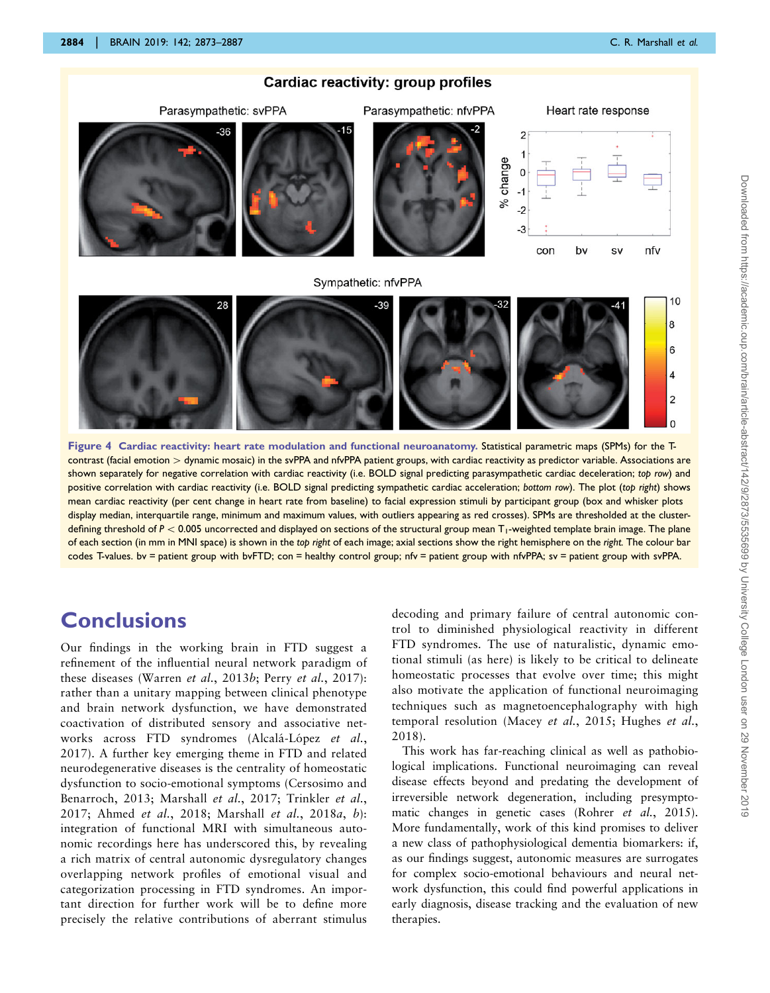<span id="page-11-0"></span>

Figure 4 Cardiac reactivity: heart rate modulation and functional neuroanatomy. Statistical parametric maps (SPMs) for the T $contrast$  (facial emotion  $>$  dynamic mosaic) in the svPPA and nfvPPA patient groups, with cardiac reactivity as predictor variable. Associations are shown separately for negative correlation with cardiac reactivity (i.e. BOLD signal predicting parasympathetic cardiac deceleration; top row) and positive correlation with cardiac reactivity (i.e. BOLD signal predicting sympathetic cardiac acceleration; bottom row). The plot (top right) shows mean cardiac reactivity (per cent change in heart rate from baseline) to facial expression stimuli by participant group (box and whisker plots display median, interquartile range, minimum and maximum values, with outliers appearing as red crosses). SPMs are thresholded at the clusterdefining threshold of  $P < 0.005$  uncorrected and displayed on sections of the structural group mean  $T_1$ -weighted template brain image. The plane of each section (in mm in MNI space) is shown in the top right of each image; axial sections show the right hemisphere on the right. The colour bar codes T-values. bv = patient group with bvFTD; con = healthy control group; nfv = patient group with nfvPPA; sv = patient group with svPPA.

### **Conclusions**

Our findings in the working brain in FTD suggest a refinement of the influential neural network paradigm of these diseases ([Warren](#page-14-0) et al., 2013b; Perry et al.[, 2017](#page-13-0)): rather than a unitary mapping between clinical phenotype and brain network dysfunction, we have demonstrated coactivation of distributed sensory and associative networks across FTD syndromes (Alcalá-López et al., [2017\)](#page-12-0). A further key emerging theme in FTD and related neurodegenerative diseases is the centrality of homeostatic dysfunction to socio-emotional symptoms ([Cersosimo and](#page-12-0) [Benarroch, 2013;](#page-12-0) [Marshall](#page-13-0) et al., 2017; [Trinkler](#page-14-0) et al., [2017;](#page-14-0) Ahmed et al.[, 2018](#page-12-0); [Marshall](#page-13-0) et al., 2018a, b): integration of functional MRI with simultaneous autonomic recordings here has underscored this, by revealing a rich matrix of central autonomic dysregulatory changes overlapping network profiles of emotional visual and categorization processing in FTD syndromes. An important direction for further work will be to define more precisely the relative contributions of aberrant stimulus

decoding and primary failure of central autonomic control to diminished physiological reactivity in different FTD syndromes. The use of naturalistic, dynamic emotional stimuli (as here) is likely to be critical to delineate homeostatic processes that evolve over time; this might also motivate the application of functional neuroimaging techniques such as magnetoencephalography with high temporal resolution (Macey et al.[, 2015; Hughes](#page-13-0) et al., [2018\)](#page-13-0).

This work has far-reaching clinical as well as pathobiological implications. Functional neuroimaging can reveal disease effects beyond and predating the development of irreversible network degeneration, including presympto-matic changes in genetic cases (Rohrer et al.[, 2015](#page-13-0)). More fundamentally, work of this kind promises to deliver a new class of pathophysiological dementia biomarkers: if, as our findings suggest, autonomic measures are surrogates for complex socio-emotional behaviours and neural network dysfunction, this could find powerful applications in early diagnosis, disease tracking and the evaluation of new therapies.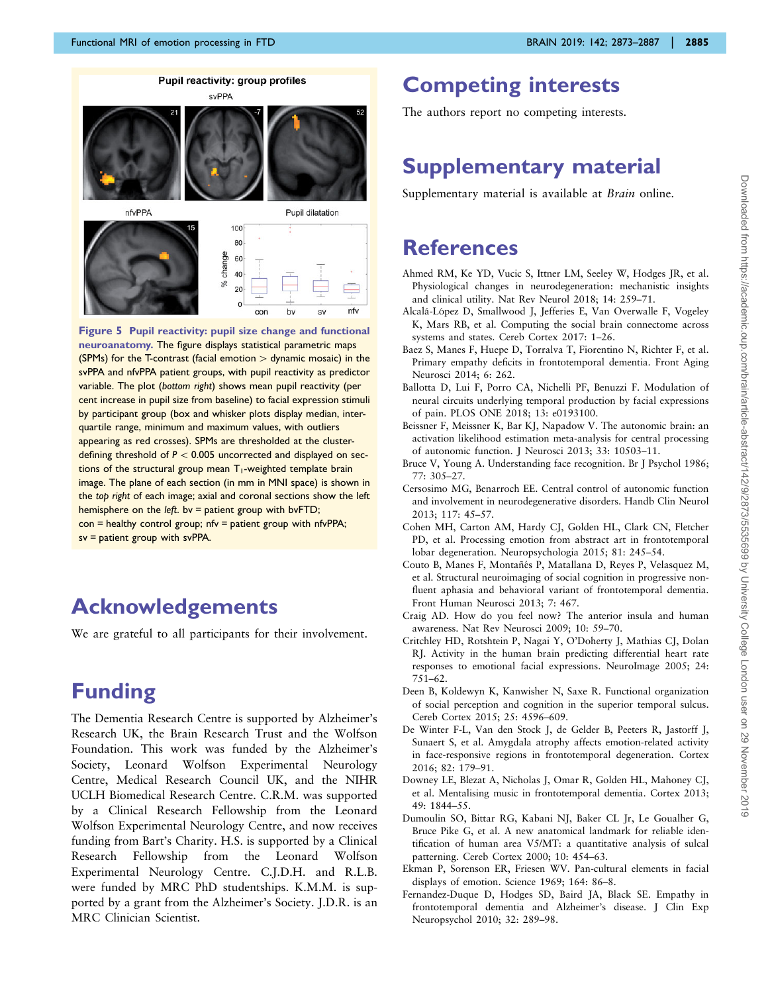<span id="page-12-0"></span>

Figure 5 Pupil reactivity: pupil size change and functional neuroanatomy. The figure displays statistical parametric maps (SPMs) for the T-contrast (facial emotion  $>$  dynamic mosaic) in the svPPA and nfvPPA patient groups, with pupil reactivity as predictor variable. The plot (bottom right) shows mean pupil reactivity (per cent increase in pupil size from baseline) to facial expression stimuli by participant group (box and whisker plots display median, interquartile range, minimum and maximum values, with outliers appearing as red crosses). SPMs are thresholded at the clusterdefining threshold of  $P < 0.005$  uncorrected and displayed on sections of the structural group mean  $T_1$ -weighted template brain image. The plane of each section (in mm in MNI space) is shown in the top right of each image; axial and coronal sections show the left hemisphere on the *left*. by  $=$  patient group with by FTD;  $con$  = healthy control group; nfv = patient group with nfvPPA; sv = patient group with svPPA.

### Acknowledgements

We are grateful to all participants for their involvement.

### Funding

The Dementia Research Centre is supported by Alzheimer's Research UK, the Brain Research Trust and the Wolfson Foundation. This work was funded by the Alzheimer's Society, Leonard Wolfson Experimental Neurology Centre, Medical Research Council UK, and the NIHR UCLH Biomedical Research Centre. C.R.M. was supported by a Clinical Research Fellowship from the Leonard Wolfson Experimental Neurology Centre, and now receives funding from Bart's Charity. H.S. is supported by a Clinical Research Fellowship from the Leonard Wolfson Experimental Neurology Centre. C.J.D.H. and R.L.B. were funded by MRC PhD studentships. K.M.M. is supported by a grant from the Alzheimer's Society. J.D.R. is an MRC Clinician Scientist.

### Competing interests

The authors report no competing interests.

## Supplementary material

[Supplementary material](https://academic.oup.com/brainj/article-lookup/doi/10.1093/brainj/awz204#supplementary-data) is available at *Brain* online.

### References

- Ahmed RM, Ke YD, Vucic S, Ittner LM, Seeley W, Hodges JR, et al. Physiological changes in neurodegeneration: mechanistic insights and clinical utility. Nat Rev Neurol 2018; 14: 259–71.
- Alcalá-López D, Smallwood J, Jefferies E, Van Overwalle F, Vogeley K, Mars RB, et al. Computing the social brain connectome across systems and states. Cereb Cortex 2017: 1–26.
- Baez S, Manes F, Huepe D, Torralva T, Fiorentino N, Richter F, et al. Primary empathy deficits in frontotemporal dementia. Front Aging Neurosci 2014; 6: 262.
- Ballotta D, Lui F, Porro CA, Nichelli PF, Benuzzi F. Modulation of neural circuits underlying temporal production by facial expressions of pain. PLOS ONE 2018; 13: e0193100.
- Beissner F, Meissner K, Bar KJ, Napadow V. The autonomic brain: an activation likelihood estimation meta-analysis for central processing of autonomic function. J Neurosci 2013; 33: 10503–11.
- Bruce V, Young A. Understanding face recognition. Br J Psychol 1986; 77: 305–27.
- Cersosimo MG, Benarroch EE. Central control of autonomic function and involvement in neurodegenerative disorders. Handb Clin Neurol 2013; 117: 45–57.
- Cohen MH, Carton AM, Hardy CJ, Golden HL, Clark CN, Fletcher PD, et al. Processing emotion from abstract art in frontotemporal lobar degeneration. Neuropsychologia 2015; 81: 245–54.
- Couto B, Manes F, Montañés P, Matallana D, Reyes P, Velasquez M, et al. Structural neuroimaging of social cognition in progressive nonfluent aphasia and behavioral variant of frontotemporal dementia. Front Human Neurosci 2013; 7: 467.
- Craig AD. How do you feel now? The anterior insula and human awareness. Nat Rev Neurosci 2009; 10: 59–70.
- Critchley HD, Rotshtein P, Nagai Y, O'Doherty J, Mathias CJ, Dolan RJ. Activity in the human brain predicting differential heart rate responses to emotional facial expressions. NeuroImage 2005; 24: 751–62.
- Deen B, Koldewyn K, Kanwisher N, Saxe R. Functional organization of social perception and cognition in the superior temporal sulcus. Cereb Cortex 2015; 25: 4596–609.
- De Winter F-L, Van den Stock J, de Gelder B, Peeters R, Jastorff J, Sunaert S, et al. Amygdala atrophy affects emotion-related activity in face-responsive regions in frontotemporal degeneration. Cortex 2016; 82: 179–91.
- Downey LE, Blezat A, Nicholas J, Omar R, Golden HL, Mahoney CJ, et al. Mentalising music in frontotemporal dementia. Cortex 2013; 49: 1844–55.
- Dumoulin SO, Bittar RG, Kabani NJ, Baker CL Jr, Le Goualher G, Bruce Pike G, et al. A new anatomical landmark for reliable identification of human area V5/MT: a quantitative analysis of sulcal patterning. Cereb Cortex 2000; 10: 454–63.
- Ekman P, Sorenson ER, Friesen WV. Pan-cultural elements in facial displays of emotion. Science 1969; 164: 86–8.
- Fernandez-Duque D, Hodges SD, Baird JA, Black SE. Empathy in frontotemporal dementia and Alzheimer's disease. J Clin Exp Neuropsychol 2010; 32: 289–98.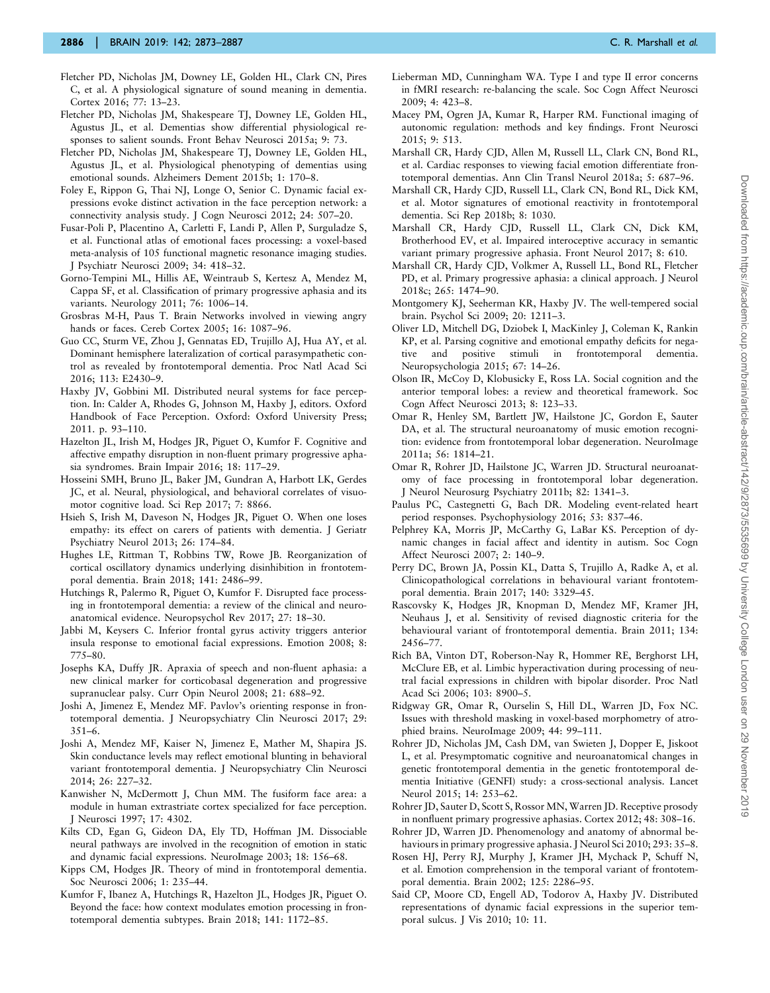- <span id="page-13-0"></span>Fletcher PD, Nicholas JM, Downey LE, Golden HL, Clark CN, Pires C, et al. A physiological signature of sound meaning in dementia. Cortex 2016; 77: 13–23.
- Fletcher PD, Nicholas JM, Shakespeare TJ, Downey LE, Golden HL, Agustus JL, et al. Dementias show differential physiological responses to salient sounds. Front Behav Neurosci 2015a; 9: 73.
- Fletcher PD, Nicholas JM, Shakespeare TJ, Downey LE, Golden HL, Agustus JL, et al. Physiological phenotyping of dementias using emotional sounds. Alzheimers Dement 2015b; 1: 170–8.
- Foley E, Rippon G, Thai NJ, Longe O, Senior C. Dynamic facial expressions evoke distinct activation in the face perception network: a connectivity analysis study. J Cogn Neurosci 2012; 24: 507–20.
- Fusar-Poli P, Placentino A, Carletti F, Landi P, Allen P, Surguladze S, et al. Functional atlas of emotional faces processing: a voxel-based meta-analysis of 105 functional magnetic resonance imaging studies. J Psychiatr Neurosci 2009; 34: 418–32.
- Gorno-Tempini ML, Hillis AE, Weintraub S, Kertesz A, Mendez M, Cappa SF, et al. Classification of primary progressive aphasia and its variants. Neurology 2011; 76: 1006–14.
- Grosbras M-H, Paus T. Brain Networks involved in viewing angry hands or faces. Cereb Cortex 2005; 16: 1087–96.
- Guo CC, Sturm VE, Zhou J, Gennatas ED, Trujillo AJ, Hua AY, et al. Dominant hemisphere lateralization of cortical parasympathetic control as revealed by frontotemporal dementia. Proc Natl Acad Sci 2016; 113: E2430–9.
- Haxby JV, Gobbini MI. Distributed neural systems for face perception. In: Calder A, Rhodes G, Johnson M, Haxby J, editors. Oxford Handbook of Face Perception. Oxford: Oxford University Press; 2011. p. 93–110.
- Hazelton JL, Irish M, Hodges JR, Piguet O, Kumfor F. Cognitive and affective empathy disruption in non-fluent primary progressive aphasia syndromes. Brain Impair 2016; 18: 117–29.
- Hosseini SMH, Bruno JL, Baker JM, Gundran A, Harbott LK, Gerdes JC, et al. Neural, physiological, and behavioral correlates of visuomotor cognitive load. Sci Rep 2017; 7: 8866.
- Hsieh S, Irish M, Daveson N, Hodges JR, Piguet O. When one loses empathy: its effect on carers of patients with dementia. J Geriatr Psychiatry Neurol 2013; 26: 174–84.
- Hughes LE, Rittman T, Robbins TW, Rowe JB. Reorganization of cortical oscillatory dynamics underlying disinhibition in frontotemporal dementia. Brain 2018; 141: 2486–99.
- Hutchings R, Palermo R, Piguet O, Kumfor F. Disrupted face processing in frontotemporal dementia: a review of the clinical and neuroanatomical evidence. Neuropsychol Rev 2017; 27: 18–30.
- Jabbi M, Keysers C. Inferior frontal gyrus activity triggers anterior insula response to emotional facial expressions. Emotion 2008; 8: 775–80.
- Josephs KA, Duffy JR. Apraxia of speech and non-fluent aphasia: a new clinical marker for corticobasal degeneration and progressive supranuclear palsy. Curr Opin Neurol 2008; 21: 688–92.
- Joshi A, Jimenez E, Mendez MF. Pavlov's orienting response in frontotemporal dementia. J Neuropsychiatry Clin Neurosci 2017; 29: 351–6.
- Joshi A, Mendez MF, Kaiser N, Jimenez E, Mather M, Shapira JS. Skin conductance levels may reflect emotional blunting in behavioral variant frontotemporal dementia. J Neuropsychiatry Clin Neurosci 2014; 26: 227–32.
- Kanwisher N, McDermott J, Chun MM. The fusiform face area: a module in human extrastriate cortex specialized for face perception. J Neurosci 1997; 17: 4302.
- Kilts CD, Egan G, Gideon DA, Ely TD, Hoffman JM. Dissociable neural pathways are involved in the recognition of emotion in static and dynamic facial expressions. NeuroImage 2003; 18: 156–68.
- Kipps CM, Hodges JR. Theory of mind in frontotemporal dementia. Soc Neurosci 2006; 1: 235–44.
- Kumfor F, Ibanez A, Hutchings R, Hazelton JL, Hodges JR, Piguet O. Beyond the face: how context modulates emotion processing in frontotemporal dementia subtypes. Brain 2018; 141: 1172–85.
- Lieberman MD, Cunningham WA. Type I and type II error concerns in fMRI research: re-balancing the scale. Soc Cogn Affect Neurosci 2009; 4: 423–8.
- Macey PM, Ogren JA, Kumar R, Harper RM. Functional imaging of autonomic regulation: methods and key findings. Front Neurosci 2015; 9: 513.
- Marshall CR, Hardy CJD, Allen M, Russell LL, Clark CN, Bond RL, et al. Cardiac responses to viewing facial emotion differentiate frontotemporal dementias. Ann Clin Transl Neurol 2018a; 5: 687–96.
- Marshall CR, Hardy CJD, Russell LL, Clark CN, Bond RL, Dick KM, et al. Motor signatures of emotional reactivity in frontotemporal dementia. Sci Rep 2018b; 8: 1030.
- Marshall CR, Hardy CJD, Russell LL, Clark CN, Dick KM, Brotherhood EV, et al. Impaired interoceptive accuracy in semantic variant primary progressive aphasia. Front Neurol 2017; 8: 610.
- Marshall CR, Hardy CJD, Volkmer A, Russell LL, Bond RL, Fletcher PD, et al. Primary progressive aphasia: a clinical approach. J Neurol 2018c; 265: 1474–90.
- Montgomery KJ, Seeherman KR, Haxby JV. The well-tempered social brain. Psychol Sci 2009; 20: 1211–3.
- Oliver LD, Mitchell DG, Dziobek I, MacKinley J, Coleman K, Rankin KP, et al. Parsing cognitive and emotional empathy deficits for negative and positive stimuli in frontotemporal dementia. Neuropsychologia 2015; 67: 14–26.
- Olson IR, McCoy D, Klobusicky E, Ross LA. Social cognition and the anterior temporal lobes: a review and theoretical framework. Soc Cogn Affect Neurosci 2013; 8: 123–33.
- Omar R, Henley SM, Bartlett JW, Hailstone JC, Gordon E, Sauter DA, et al. The structural neuroanatomy of music emotion recognition: evidence from frontotemporal lobar degeneration. NeuroImage 2011a; 56: 1814–21.
- Omar R, Rohrer JD, Hailstone JC, Warren JD. Structural neuroanatomy of face processing in frontotemporal lobar degeneration. J Neurol Neurosurg Psychiatry 2011b; 82: 1341–3.
- Paulus PC, Castegnetti G, Bach DR. Modeling event-related heart period responses. Psychophysiology 2016; 53: 837–46.
- Pelphrey KA, Morris JP, McCarthy G, LaBar KS. Perception of dynamic changes in facial affect and identity in autism. Soc Cogn Affect Neurosci 2007; 2: 140–9.
- Perry DC, Brown JA, Possin KL, Datta S, Trujillo A, Radke A, et al. Clinicopathological correlations in behavioural variant frontotemporal dementia. Brain 2017; 140: 3329–45.
- Rascovsky K, Hodges JR, Knopman D, Mendez MF, Kramer JH, Neuhaus J, et al. Sensitivity of revised diagnostic criteria for the behavioural variant of frontotemporal dementia. Brain 2011; 134: 2456–77.
- Rich BA, Vinton DT, Roberson-Nay R, Hommer RE, Berghorst LH, McClure EB, et al. Limbic hyperactivation during processing of neutral facial expressions in children with bipolar disorder. Proc Natl Acad Sci 2006; 103: 8900–5.
- Ridgway GR, Omar R, Ourselin S, Hill DL, Warren JD, Fox NC. Issues with threshold masking in voxel-based morphometry of atrophied brains. NeuroImage 2009; 44: 99–111.
- Rohrer JD, Nicholas JM, Cash DM, van Swieten J, Dopper E, Jiskoot L, et al. Presymptomatic cognitive and neuroanatomical changes in genetic frontotemporal dementia in the genetic frontotemporal dementia Initiative (GENFI) study: a cross-sectional analysis. Lancet Neurol 2015; 14: 253–62.
- Rohrer JD, Sauter D, Scott S, Rossor MN, Warren JD. Receptive prosody in nonfluent primary progressive aphasias. Cortex 2012; 48: 308–16.
- Rohrer JD, Warren JD. Phenomenology and anatomy of abnormal behaviours in primary progressive aphasia. J Neurol Sci 2010; 293: 35–8.
- Rosen HJ, Perry RJ, Murphy J, Kramer JH, Mychack P, Schuff N, et al. Emotion comprehension in the temporal variant of frontotemporal dementia. Brain 2002; 125: 2286–95.
- Said CP, Moore CD, Engell AD, Todorov A, Haxby JV. Distributed representations of dynamic facial expressions in the superior temporal sulcus. J Vis 2010; 10: 11.